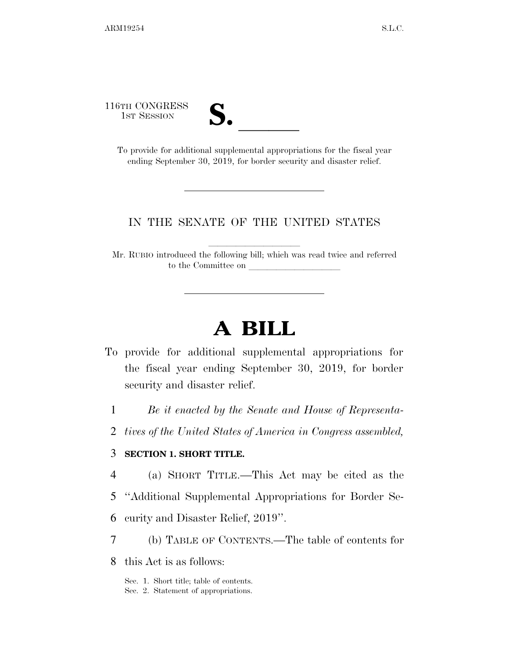116TH CONGRESS



TH CONGRESS<br>
1ST SESSION<br>
To provide for additional supplemental appropriations for the fiscal year ending September 30, 2019, for border security and disaster relief.

#### IN THE SENATE OF THE UNITED STATES

Mr. RUBIO introduced the following bill; which was read twice and referred to the Committee on

# **A BILL**

- To provide for additional supplemental appropriations for the fiscal year ending September 30, 2019, for border security and disaster relief.
	- 1 *Be it enacted by the Senate and House of Representa-*
	- 2 *tives of the United States of America in Congress assembled,*

#### 3 **SECTION 1. SHORT TITLE.**

- 4 (a) SHORT TITLE.—This Act may be cited as the
- 5 ''Additional Supplemental Appropriations for Border Se-
- 6 curity and Disaster Relief, 2019''.
- 7 (b) TABLE OF CONTENTS.—The table of contents for
- 8 this Act is as follows:

Sec. 1. Short title; table of contents. Sec. 2. Statement of appropriations.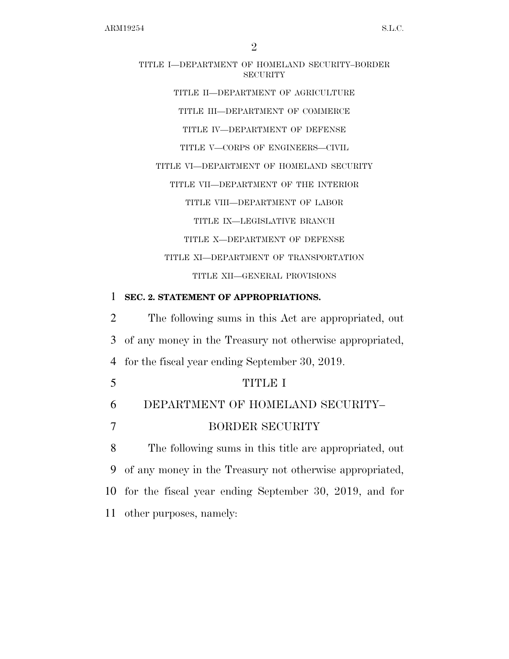# TITLE I—DEPARTMENT OF HOMELAND SECURITY–BORDER **SECURITY** TITLE II—DEPARTMENT OF AGRICULTURE TITLE III—DEPARTMENT OF COMMERCE TITLE IV—DEPARTMENT OF DEFENSE

TITLE V—CORPS OF ENGINEERS—CIVIL

TITLE VI—DEPARTMENT OF HOMELAND SECURITY

TITLE VII—DEPARTMENT OF THE INTERIOR

TITLE VIII—DEPARTMENT OF LABOR

TITLE IX—LEGISLATIVE BRANCH

TITLE X—DEPARTMENT OF DEFENSE

TITLE XI—DEPARTMENT OF TRANSPORTATION

TITLE XII—GENERAL PROVISIONS

#### 1 **SEC. 2. STATEMENT OF APPROPRIATIONS.**

2 The following sums in this Act are appropriated, out 3 of any money in the Treasury not otherwise appropriated, 4 for the fiscal year ending September 30, 2019.

5 TITLE I

# 6 DEPARTMENT OF HOMELAND SECURITY–

7 BORDER SECURITY

 The following sums in this title are appropriated, out of any money in the Treasury not otherwise appropriated, for the fiscal year ending September 30, 2019, and for other purposes, namely: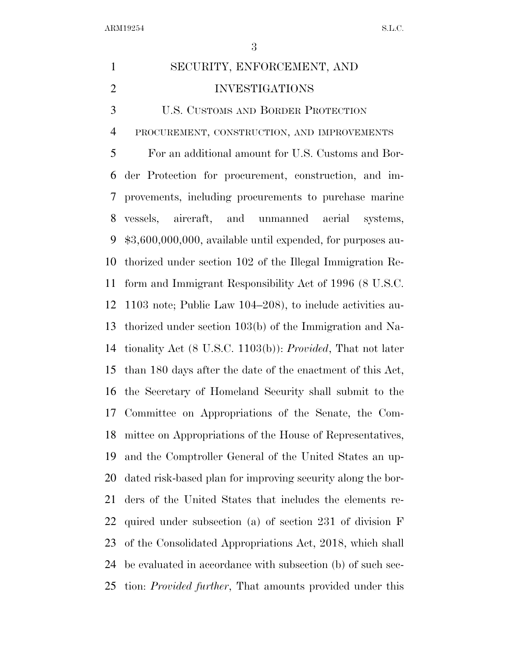# SECURITY, ENFORCEMENT, AND INVESTIGATIONS U.S. CUSTOMS AND BORDER PROTECTION PROCUREMENT, CONSTRUCTION, AND IMPROVEMENTS For an additional amount for U.S. Customs and Bor- der Protection for procurement, construction, and im- provements, including procurements to purchase marine vessels, aircraft, and unmanned aerial systems, \$3,600,000,000, available until expended, for purposes au- thorized under section 102 of the Illegal Immigration Re- form and Immigrant Responsibility Act of 1996 (8 U.S.C. 1103 note; Public Law 104–208), to include activities au- thorized under section 103(b) of the Immigration and Na- tionality Act (8 U.S.C. 1103(b)): *Provided*, That not later than 180 days after the date of the enactment of this Act, the Secretary of Homeland Security shall submit to the Committee on Appropriations of the Senate, the Com- mittee on Appropriations of the House of Representatives, and the Comptroller General of the United States an up- dated risk-based plan for improving security along the bor- ders of the United States that includes the elements re- quired under subsection (a) of section 231 of division F of the Consolidated Appropriations Act, 2018, which shall be evaluated in accordance with subsection (b) of such sec-tion: *Provided further*, That amounts provided under this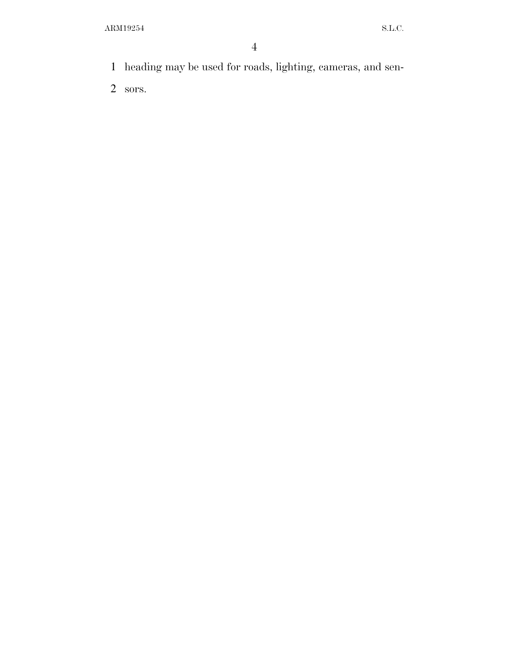heading may be used for roads, lighting, cameras, and sen-

sors.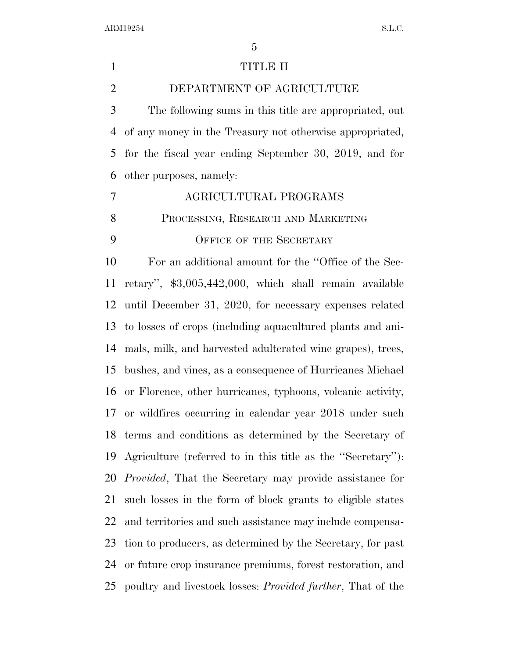| $\mathbf{1}$   | <b>TITLE II</b>                                                     |
|----------------|---------------------------------------------------------------------|
| $\overline{2}$ | DEPARTMENT OF AGRICULTURE                                           |
| 3              | The following sums in this title are appropriated, out              |
| $\overline{4}$ | of any money in the Treasury not otherwise appropriated,            |
| 5              | for the fiscal year ending September 30, 2019, and for              |
| 6              | other purposes, namely:                                             |
| $\tau$         | AGRICULTURAL PROGRAMS                                               |
| 8              | PROCESSING, RESEARCH AND MARKETING                                  |
| 9              | <b>OFFICE OF THE SECRETARY</b>                                      |
| 10             | For an additional amount for the "Office of the Sec-                |
| 11             | retary", \$3,005,442,000, which shall remain available              |
| 12             | until December 31, 2020, for necessary expenses related             |
|                | 13 to losses of crops (including aquacultured plants and ani-       |
| 14             | mals, milk, and harvested adulterated wine grapes), trees,          |
| 15             | bushes, and vines, as a consequence of Hurricanes Michael           |
| 16             | or Florence, other hurricanes, typhoons, volcanic activity,         |
|                | 17 or wildfires occurring in calendar year 2018 under such          |
|                | 18 terms and conditions as determined by the Secretary of           |
| 19             | Agriculture (referred to in this title as the "Secretary").         |
| 20             | <i>Provided</i> , That the Secretary may provide assistance for     |
| 21             | such losses in the form of block grants to eligible states          |
| 22             | and territories and such assistance may include compensa-           |
| 23             | tion to producers, as determined by the Secretary, for past         |
| 24             | or future crop insurance premiums, forest restoration, and          |
| 25             | poultry and livestock losses: <i>Provided further</i> , That of the |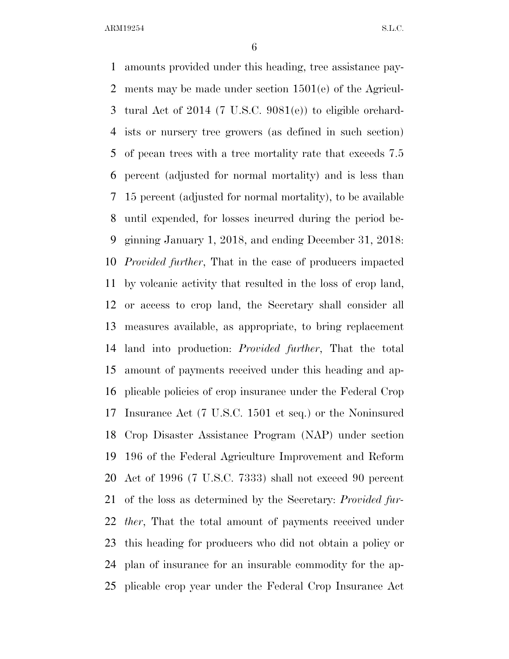amounts provided under this heading, tree assistance pay- ments may be made under section 1501(e) of the Agricul- tural Act of 2014 (7 U.S.C. 9081(e)) to eligible orchard- ists or nursery tree growers (as defined in such section) of pecan trees with a tree mortality rate that exceeds 7.5 percent (adjusted for normal mortality) and is less than 15 percent (adjusted for normal mortality), to be available until expended, for losses incurred during the period be- ginning January 1, 2018, and ending December 31, 2018: *Provided further*, That in the case of producers impacted by volcanic activity that resulted in the loss of crop land, or access to crop land, the Secretary shall consider all measures available, as appropriate, to bring replacement land into production: *Provided further*, That the total amount of payments received under this heading and ap- plicable policies of crop insurance under the Federal Crop Insurance Act (7 U.S.C. 1501 et seq.) or the Noninsured Crop Disaster Assistance Program (NAP) under section 196 of the Federal Agriculture Improvement and Reform Act of 1996 (7 U.S.C. 7333) shall not exceed 90 percent of the loss as determined by the Secretary: *Provided fur- ther*, That the total amount of payments received under this heading for producers who did not obtain a policy or plan of insurance for an insurable commodity for the ap-plicable crop year under the Federal Crop Insurance Act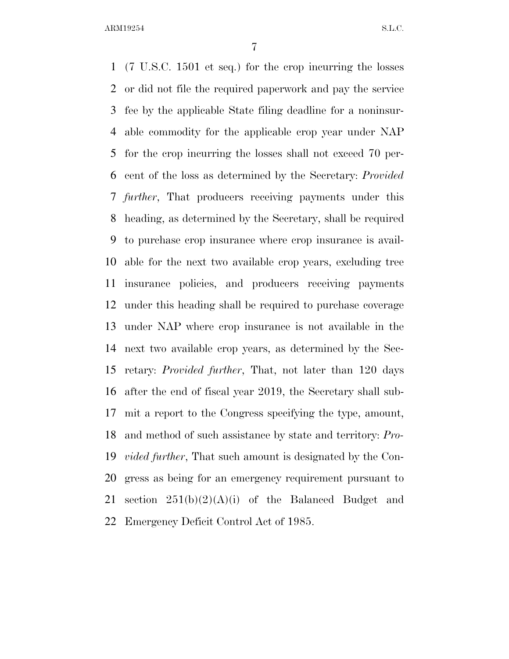(7 U.S.C. 1501 et seq.) for the crop incurring the losses or did not file the required paperwork and pay the service fee by the applicable State filing deadline for a noninsur- able commodity for the applicable crop year under NAP for the crop incurring the losses shall not exceed 70 per- cent of the loss as determined by the Secretary: *Provided further*, That producers receiving payments under this heading, as determined by the Secretary, shall be required to purchase crop insurance where crop insurance is avail- able for the next two available crop years, excluding tree insurance policies, and producers receiving payments under this heading shall be required to purchase coverage under NAP where crop insurance is not available in the next two available crop years, as determined by the Sec- retary: *Provided further*, That, not later than 120 days after the end of fiscal year 2019, the Secretary shall sub- mit a report to the Congress specifying the type, amount, and method of such assistance by state and territory: *Pro- vided further*, That such amount is designated by the Con- gress as being for an emergency requirement pursuant to 21 section  $251(b)(2)(A)(i)$  of the Balanced Budget and Emergency Deficit Control Act of 1985.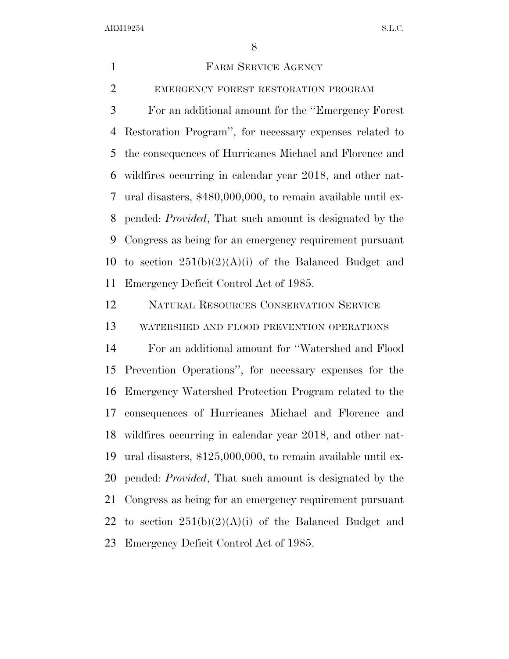FARM SERVICE AGENCY EMERGENCY FOREST RESTORATION PROGRAM For an additional amount for the ''Emergency Forest Restoration Program'', for necessary expenses related to the consequences of Hurricanes Michael and Florence and wildfires occurring in calendar year 2018, and other nat- ural disasters, \$480,000,000, to remain available until ex- pended: *Provided*, That such amount is designated by the Congress as being for an emergency requirement pursuant 10 to section  $251(b)(2)(A)(i)$  of the Balanced Budget and Emergency Deficit Control Act of 1985. NATURAL RESOURCES CONSERVATION SERVICE WATERSHED AND FLOOD PREVENTION OPERATIONS For an additional amount for ''Watershed and Flood Prevention Operations'', for necessary expenses for the Emergency Watershed Protection Program related to the consequences of Hurricanes Michael and Florence and wildfires occurring in calendar year 2018, and other nat- ural disasters, \$125,000,000, to remain available until ex- pended: *Provided*, That such amount is designated by the Congress as being for an emergency requirement pursuant 22 to section  $251(b)(2)(A)(i)$  of the Balanced Budget and Emergency Deficit Control Act of 1985.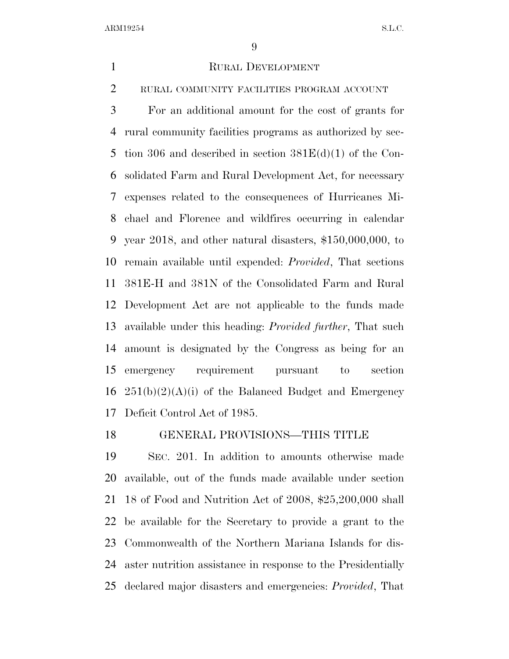#### 1 RURAL DEVELOPMENT

RURAL COMMUNITY FACILITIES PROGRAM ACCOUNT

 For an additional amount for the cost of grants for rural community facilities programs as authorized by sec- tion 306 and described in section 381E(d)(1) of the Con- solidated Farm and Rural Development Act, for necessary expenses related to the consequences of Hurricanes Mi- chael and Florence and wildfires occurring in calendar year 2018, and other natural disasters, \$150,000,000, to remain available until expended: *Provided*, That sections 381E-H and 381N of the Consolidated Farm and Rural Development Act are not applicable to the funds made available under this heading: *Provided further*, That such amount is designated by the Congress as being for an emergency requirement pursuant to section  $251(b)(2)(A)(i)$  of the Balanced Budget and Emergency Deficit Control Act of 1985.

#### GENERAL PROVISIONS—THIS TITLE

 SEC. 201. In addition to amounts otherwise made available, out of the funds made available under section 18 of Food and Nutrition Act of 2008, \$25,200,000 shall be available for the Secretary to provide a grant to the Commonwealth of the Northern Mariana Islands for dis- aster nutrition assistance in response to the Presidentially declared major disasters and emergencies: *Provided*, That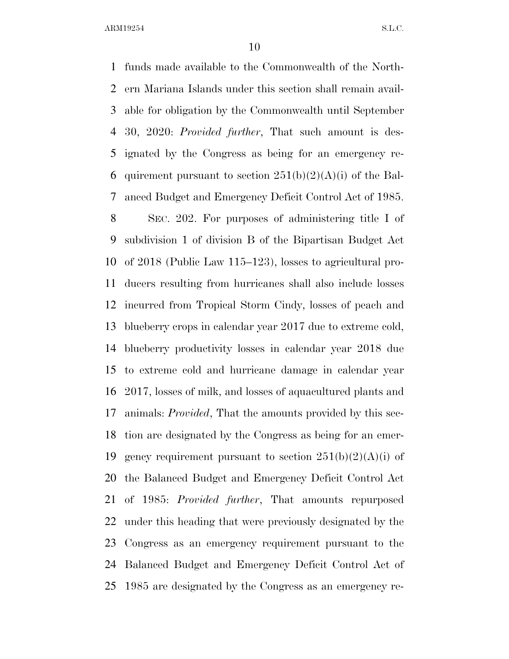funds made available to the Commonwealth of the North- ern Mariana Islands under this section shall remain avail- able for obligation by the Commonwealth until September 30, 2020: *Provided further*, That such amount is des- ignated by the Congress as being for an emergency re-6 quirement pursuant to section  $251(b)(2)(A)(i)$  of the Bal-anced Budget and Emergency Deficit Control Act of 1985.

 SEC. 202. For purposes of administering title I of subdivision 1 of division B of the Bipartisan Budget Act of 2018 (Public Law 115–123), losses to agricultural pro- ducers resulting from hurricanes shall also include losses incurred from Tropical Storm Cindy, losses of peach and blueberry crops in calendar year 2017 due to extreme cold, blueberry productivity losses in calendar year 2018 due to extreme cold and hurricane damage in calendar year 2017, losses of milk, and losses of aquacultured plants and animals: *Provided*, That the amounts provided by this sec- tion are designated by the Congress as being for an emer-19 gency requirement pursuant to section  $251(b)(2)(A)(i)$  of the Balanced Budget and Emergency Deficit Control Act of 1985: *Provided further*, That amounts repurposed under this heading that were previously designated by the Congress as an emergency requirement pursuant to the Balanced Budget and Emergency Deficit Control Act of 1985 are designated by the Congress as an emergency re-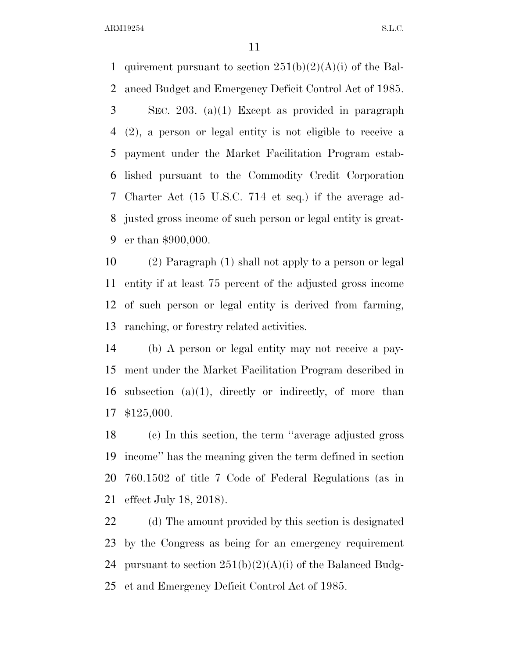1 quirement pursuant to section  $251(b)(2)(A)(i)$  of the Bal- anced Budget and Emergency Deficit Control Act of 1985. SEC. 203. (a)(1) Except as provided in paragraph (2), a person or legal entity is not eligible to receive a payment under the Market Facilitation Program estab- lished pursuant to the Commodity Credit Corporation Charter Act (15 U.S.C. 714 et seq.) if the average ad- justed gross income of such person or legal entity is great-er than \$900,000.

 (2) Paragraph (1) shall not apply to a person or legal entity if at least 75 percent of the adjusted gross income of such person or legal entity is derived from farming, ranching, or forestry related activities.

 (b) A person or legal entity may not receive a pay- ment under the Market Facilitation Program described in 16 subsection  $(a)(1)$ , directly or indirectly, of more than \$125,000.

 (c) In this section, the term ''average adjusted gross income'' has the meaning given the term defined in section 760.1502 of title 7 Code of Federal Regulations (as in effect July 18, 2018).

 (d) The amount provided by this section is designated by the Congress as being for an emergency requirement 24 pursuant to section  $251(b)(2)(A)(i)$  of the Balanced Budg-et and Emergency Deficit Control Act of 1985.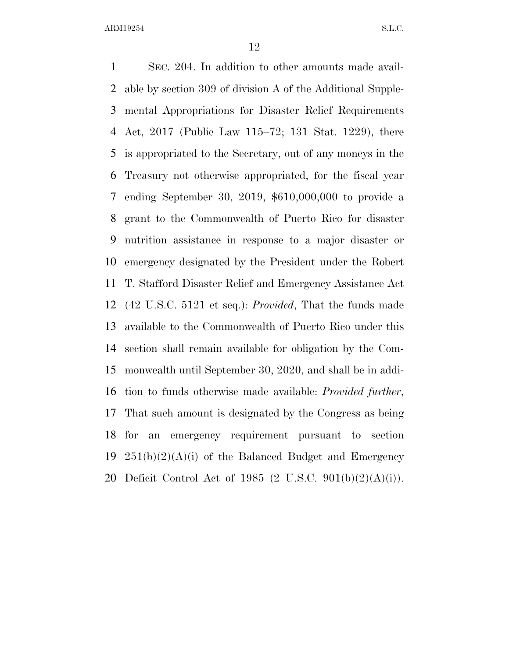SEC. 204. In addition to other amounts made avail- able by section 309 of division A of the Additional Supple- mental Appropriations for Disaster Relief Requirements Act, 2017 (Public Law 115–72; 131 Stat. 1229), there is appropriated to the Secretary, out of any moneys in the Treasury not otherwise appropriated, for the fiscal year ending September 30, 2019, \$610,000,000 to provide a grant to the Commonwealth of Puerto Rico for disaster nutrition assistance in response to a major disaster or emergency designated by the President under the Robert T. Stafford Disaster Relief and Emergency Assistance Act (42 U.S.C. 5121 et seq.): *Provided*, That the funds made available to the Commonwealth of Puerto Rico under this section shall remain available for obligation by the Com- monwealth until September 30, 2020, and shall be in addi- tion to funds otherwise made available: *Provided further*, That such amount is designated by the Congress as being for an emergency requirement pursuant to section  $251(b)(2)(A)(i)$  of the Balanced Budget and Emergency 20 Deficit Control Act of 1985 (2 U.S.C.  $901(b)(2)(A)(i)$ ).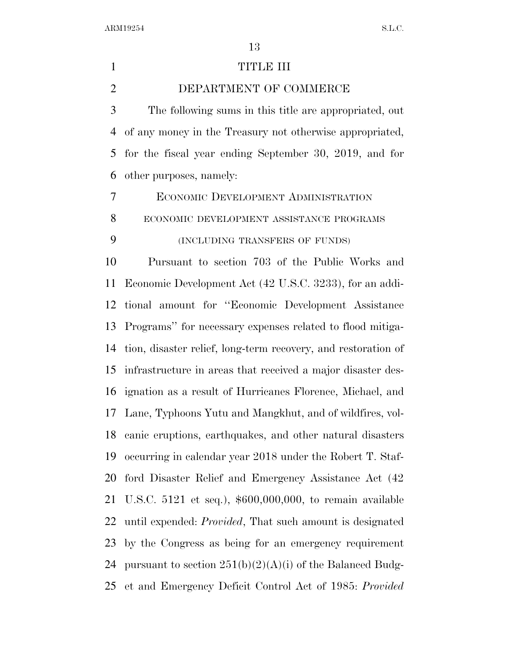#### 1 TITLE III

DEPARTMENT OF COMMERCE

 The following sums in this title are appropriated, out of any money in the Treasury not otherwise appropriated, for the fiscal year ending September 30, 2019, and for other purposes, namely:

ECONOMIC DEVELOPMENT ADMINISTRATION

ECONOMIC DEVELOPMENT ASSISTANCE PROGRAMS

# (INCLUDING TRANSFERS OF FUNDS)

 Pursuant to section 703 of the Public Works and Economic Development Act (42 U.S.C. 3233), for an addi- tional amount for ''Economic Development Assistance Programs'' for necessary expenses related to flood mitiga- tion, disaster relief, long-term recovery, and restoration of infrastructure in areas that received a major disaster des- ignation as a result of Hurricanes Florence, Michael, and Lane, Typhoons Yutu and Mangkhut, and of wildfires, vol- canic eruptions, earthquakes, and other natural disasters occurring in calendar year 2018 under the Robert T. Staf- ford Disaster Relief and Emergency Assistance Act (42 U.S.C. 5121 et seq.), \$600,000,000, to remain available until expended: *Provided*, That such amount is designated by the Congress as being for an emergency requirement 24 pursuant to section  $251(b)(2)(A)(i)$  of the Balanced Budg-et and Emergency Deficit Control Act of 1985: *Provided*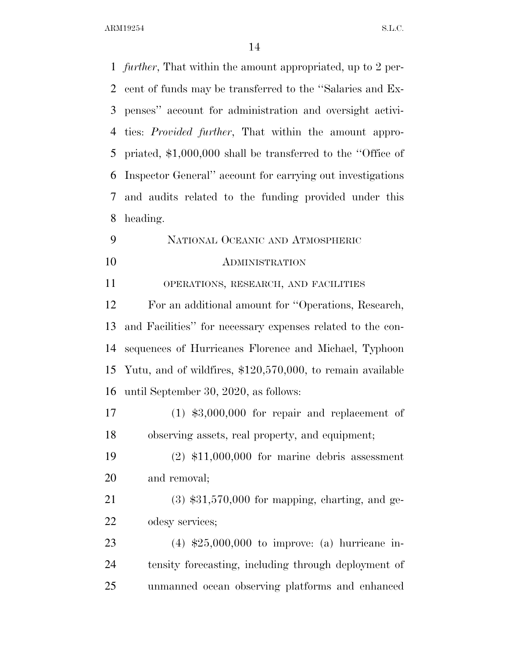*further*, That within the amount appropriated, up to 2 per- cent of funds may be transferred to the ''Salaries and Ex- penses'' account for administration and oversight activi- ties: *Provided further*, That within the amount appro- priated, \$1,000,000 shall be transferred to the ''Office of Inspector General'' account for carrying out investigations and audits related to the funding provided under this heading. NATIONAL OCEANIC AND ATMOSPHERIC ADMINISTRATION OPERATIONS, RESEARCH, AND FACILITIES For an additional amount for ''Operations, Research, and Facilities'' for necessary expenses related to the con- sequences of Hurricanes Florence and Michael, Typhoon Yutu, and of wildfires, \$120,570,000, to remain available until September 30, 2020, as follows: (1) \$3,000,000 for repair and replacement of observing assets, real property, and equipment; (2) \$11,000,000 for marine debris assessment and removal; (3) \$31,570,000 for mapping, charting, and ge- odesy services; (4) \$25,000,000 to improve: (a) hurricane in- tensity forecasting, including through deployment of unmanned ocean observing platforms and enhanced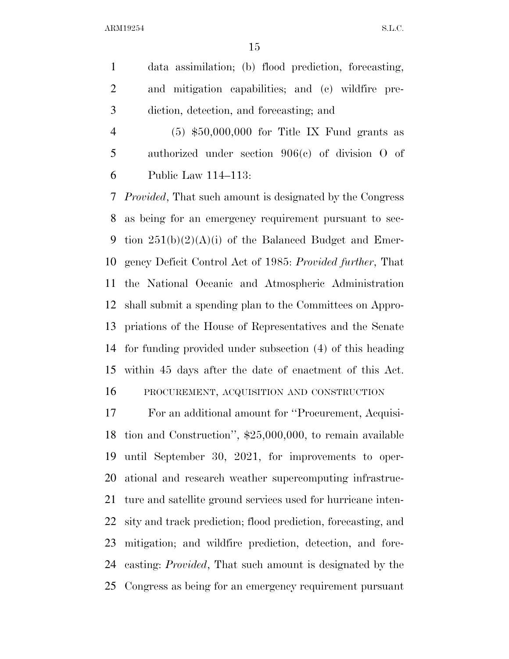data assimilation; (b) flood prediction, forecasting, and mitigation capabilities; and (c) wildfire pre-diction, detection, and forecasting; and

 (5) \$50,000,000 for Title IX Fund grants as authorized under section 906(c) of division O of Public Law 114–113:

 *Provided*, That such amount is designated by the Congress as being for an emergency requirement pursuant to sec-9 tion  $251(b)(2)(A)(i)$  of the Balanced Budget and Emer- gency Deficit Control Act of 1985: *Provided further*, That the National Oceanic and Atmospheric Administration shall submit a spending plan to the Committees on Appro- priations of the House of Representatives and the Senate for funding provided under subsection (4) of this heading within 45 days after the date of enactment of this Act. PROCUREMENT, ACQUISITION AND CONSTRUCTION

 For an additional amount for ''Procurement, Acquisi- tion and Construction'', \$25,000,000, to remain available until September 30, 2021, for improvements to oper- ational and research weather supercomputing infrastruc- ture and satellite ground services used for hurricane inten- sity and track prediction; flood prediction, forecasting, and mitigation; and wildfire prediction, detection, and fore- casting: *Provided*, That such amount is designated by the Congress as being for an emergency requirement pursuant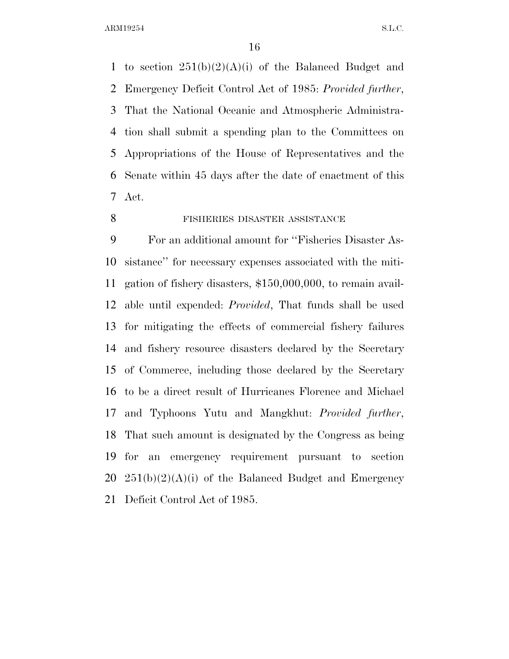1 to section  $251(b)(2)(A)(i)$  of the Balanced Budget and Emergency Deficit Control Act of 1985: *Provided further*, That the National Oceanic and Atmospheric Administra- tion shall submit a spending plan to the Committees on Appropriations of the House of Representatives and the Senate within 45 days after the date of enactment of this Act.

FISHERIES DISASTER ASSISTANCE

 For an additional amount for ''Fisheries Disaster As- sistance'' for necessary expenses associated with the miti- gation of fishery disasters, \$150,000,000, to remain avail- able until expended: *Provided*, That funds shall be used for mitigating the effects of commercial fishery failures and fishery resource disasters declared by the Secretary of Commerce, including those declared by the Secretary to be a direct result of Hurricanes Florence and Michael and Typhoons Yutu and Mangkhut: *Provided further*, That such amount is designated by the Congress as being for an emergency requirement pursuant to section  $251(b)(2)(A)(i)$  of the Balanced Budget and Emergency Deficit Control Act of 1985.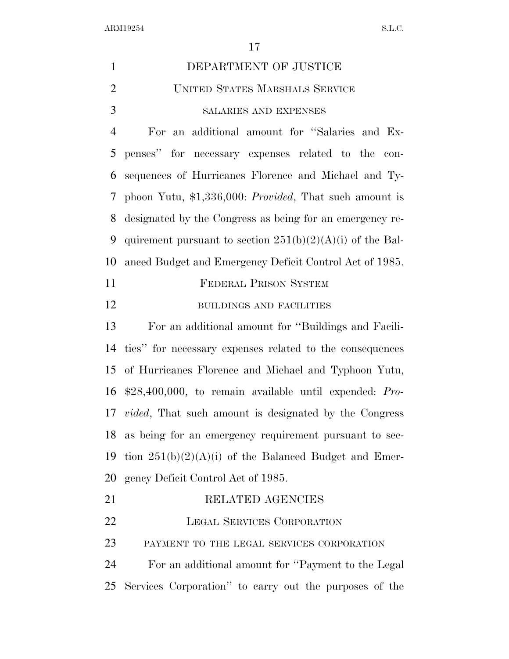| $\mathbf{1}$   | DEPARTMENT OF JUSTICE                                            |
|----------------|------------------------------------------------------------------|
| $\overline{2}$ | UNITED STATES MARSHALS SERVICE                                   |
| 3              | SALARIES AND EXPENSES                                            |
| $\overline{4}$ | For an additional amount for "Salaries and Ex-                   |
| 5              | penses" for necessary expenses related to the con-               |
| 6              | sequences of Hurricanes Florence and Michael and Ty-             |
| 7              | phoon Yutu, $$1,336,000$ : <i>Provided</i> , That such amount is |
| 8              | designated by the Congress as being for an emergency re-         |
| 9              | quirement pursuant to section $251(b)(2)(A)(i)$ of the Bal-      |
| 10             | anced Budget and Emergency Deficit Control Act of 1985.          |
| 11             | <b>FEDERAL PRISON SYSTEM</b>                                     |
| 12             | BUILDINGS AND FACILITIES                                         |
| 13             | For an additional amount for "Buildings and Facili-              |
| 14             | ties" for necessary expenses related to the consequences         |
|                | 15 of Hurricanes Florence and Michael and Typhoon Yutu,          |
| 16             | $$28,400,000$ , to remain available until expended: Pro-         |
|                | 17 <i>vided</i> , That such amount is designated by the Congress |
|                | 18 as being for an emergency requirement pursuant to sec-        |
| 19             | tion $251(b)(2)(A)(i)$ of the Balanced Budget and Emer-          |
| 20             | gency Deficit Control Act of 1985.                               |
| 21             | RELATED AGENCIES                                                 |
| 22             | LEGAL SERVICES CORPORATION                                       |
| 23             | PAYMENT TO THE LEGAL SERVICES CORPORATION                        |
| 24             | For an additional amount for "Payment to the Legal"              |
| 25             | Services Corporation" to carry out the purposes of the           |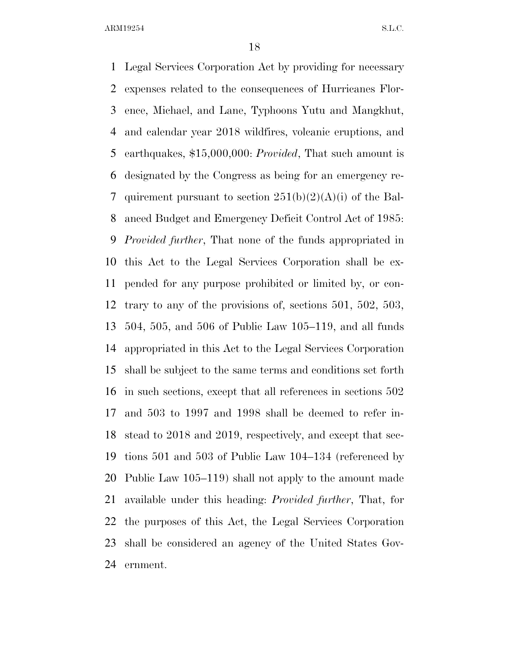Legal Services Corporation Act by providing for necessary expenses related to the consequences of Hurricanes Flor- ence, Michael, and Lane, Typhoons Yutu and Mangkhut, and calendar year 2018 wildfires, volcanic eruptions, and earthquakes, \$15,000,000: *Provided*, That such amount is designated by the Congress as being for an emergency re-7 quirement pursuant to section  $251(b)(2)(A)(i)$  of the Bal- anced Budget and Emergency Deficit Control Act of 1985: *Provided further*, That none of the funds appropriated in this Act to the Legal Services Corporation shall be ex- pended for any purpose prohibited or limited by, or con- trary to any of the provisions of, sections 501, 502, 503, 504, 505, and 506 of Public Law 105–119, and all funds appropriated in this Act to the Legal Services Corporation shall be subject to the same terms and conditions set forth in such sections, except that all references in sections 502 and 503 to 1997 and 1998 shall be deemed to refer in- stead to 2018 and 2019, respectively, and except that sec- tions 501 and 503 of Public Law 104–134 (referenced by Public Law 105–119) shall not apply to the amount made available under this heading: *Provided further*, That, for the purposes of this Act, the Legal Services Corporation shall be considered an agency of the United States Gov-ernment.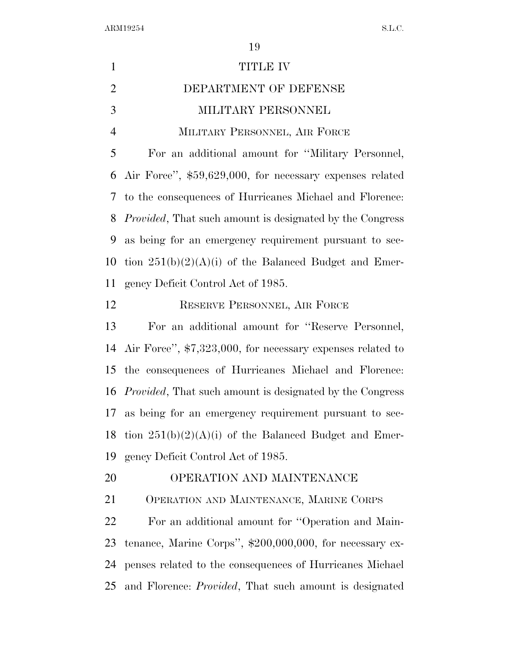$\begin{minipage}{0.9\linewidth} \textbf{ARM19254} & \textbf{S.L.C.} \end{minipage}$ 

| $\mathbf{1}$   | <b>TITLE IV</b>                                                  |
|----------------|------------------------------------------------------------------|
| $\overline{2}$ | DEPARTMENT OF DEFENSE                                            |
| 3              | MILITARY PERSONNEL                                               |
| $\overline{4}$ | MILITARY PERSONNEL, AIR FORCE                                    |
| 5              | For an additional amount for "Military Personnel,                |
| 6              | Air Force", \$59,629,000, for necessary expenses related         |
| 7              | to the consequences of Hurricanes Michael and Florence:          |
| 8              | <i>Provided</i> , That such amount is designated by the Congress |
| 9              | as being for an emergency requirement pursuant to sec-           |
| 10             | tion $251(b)(2)(A)(i)$ of the Balanced Budget and Emer-          |
| 11             | gency Deficit Control Act of 1985.                               |
| 12             | RESERVE PERSONNEL, AIR FORCE                                     |
| 13             | For an additional amount for "Reserve Personnel,                 |
| 14             | Air Force", \$7,323,000, for necessary expenses related to       |
| 15             | the consequences of Hurricanes Michael and Florence:             |
| 16             | <i>Provided</i> , That such amount is designated by the Congress |
| 17             | as being for an emergency requirement pursuant to sec-           |
| 18             | tion $251(b)(2)(A)(i)$ of the Balanced Budget and Emer-          |
| 19             | gency Deficit Control Act of 1985.                               |
| 20             | OPERATION AND MAINTENANCE                                        |
| 21             | OPERATION AND MAINTENANCE, MARINE CORPS                          |
| 22             | For an additional amount for "Operation and Main-                |
| 23             | tenance, Marine Corps", $$200,000,000$ , for necessary ex-       |
| 24             | penses related to the consequences of Hurricanes Michael         |
| 25             | and Florence: <i>Provided</i> , That such amount is designated   |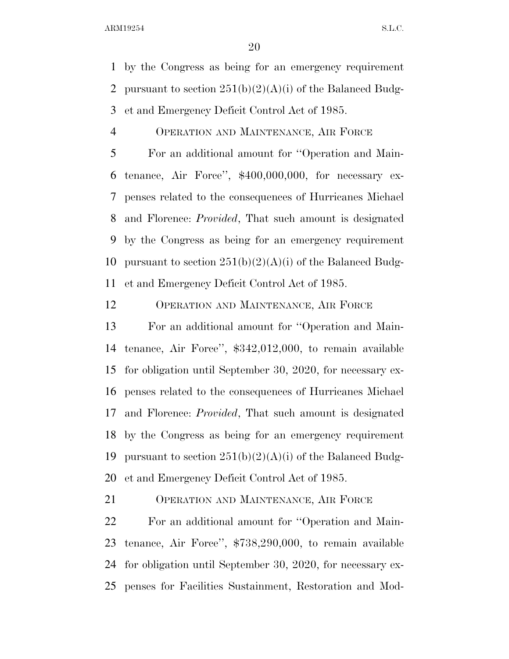by the Congress as being for an emergency requirement 2 pursuant to section  $251(b)(2)(A)(i)$  of the Balanced Budg-et and Emergency Deficit Control Act of 1985.

#### OPERATION AND MAINTENANCE, AIR FORCE

 For an additional amount for ''Operation and Main- tenance, Air Force'', \$400,000,000, for necessary ex- penses related to the consequences of Hurricanes Michael and Florence: *Provided*, That such amount is designated by the Congress as being for an emergency requirement 10 pursuant to section  $251(b)(2)(A)(i)$  of the Balanced Budg-et and Emergency Deficit Control Act of 1985.

OPERATION AND MAINTENANCE, AIR FORCE

 For an additional amount for ''Operation and Main- tenance, Air Force'', \$342,012,000, to remain available for obligation until September 30, 2020, for necessary ex- penses related to the consequences of Hurricanes Michael and Florence: *Provided*, That such amount is designated by the Congress as being for an emergency requirement 19 pursuant to section  $251(b)(2)(A)(i)$  of the Balanced Budg-et and Emergency Deficit Control Act of 1985.

OPERATION AND MAINTENANCE, AIR FORCE

 For an additional amount for ''Operation and Main- tenance, Air Force'', \$738,290,000, to remain available for obligation until September 30, 2020, for necessary ex-penses for Facilities Sustainment, Restoration and Mod-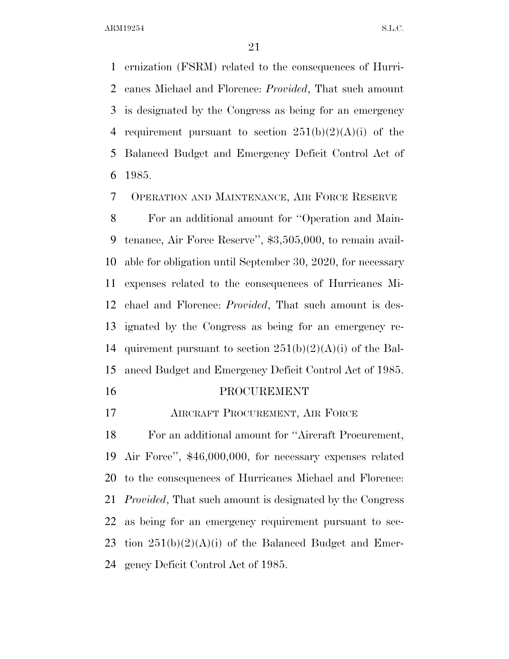ernization (FSRM) related to the consequences of Hurri- canes Michael and Florence: *Provided*, That such amount is designated by the Congress as being for an emergency 4 requirement pursuant to section  $251(b)(2)(A)(i)$  of the Balanced Budget and Emergency Deficit Control Act of 1985.

OPERATION AND MAINTENANCE, AIR FORCE RESERVE

 For an additional amount for ''Operation and Main- tenance, Air Force Reserve'', \$3,505,000, to remain avail- able for obligation until September 30, 2020, for necessary expenses related to the consequences of Hurricanes Mi- chael and Florence: *Provided*, That such amount is des- ignated by the Congress as being for an emergency re-14 quirement pursuant to section  $251(b)(2)(A)(i)$  of the Bal-anced Budget and Emergency Deficit Control Act of 1985.

#### PROCUREMENT

AIRCRAFT PROCUREMENT, AIR FORCE

 For an additional amount for ''Aircraft Procurement, Air Force'', \$46,000,000, for necessary expenses related to the consequences of Hurricanes Michael and Florence: *Provided*, That such amount is designated by the Congress as being for an emergency requirement pursuant to sec-23 tion  $251(b)(2)(A)(i)$  of the Balanced Budget and Emer-gency Deficit Control Act of 1985.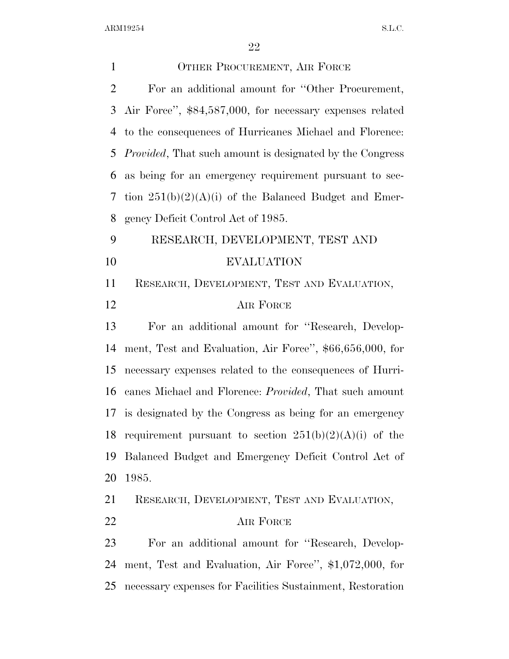| $\mathbf{1}$   | OTHER PROCUREMENT, AIR FORCE                                     |
|----------------|------------------------------------------------------------------|
| $\overline{2}$ | For an additional amount for "Other Procurement,                 |
| 3              | Air Force", \$84,587,000, for necessary expenses related         |
| 4              | to the consequences of Hurricanes Michael and Florence:          |
| 5              | <i>Provided</i> , That such amount is designated by the Congress |
| 6              | as being for an emergency requirement pursuant to sec-           |
| 7              | tion $251(b)(2)(A)(i)$ of the Balanced Budget and Emer-          |
| 8              | gency Deficit Control Act of 1985.                               |
| 9              | RESEARCH, DEVELOPMENT, TEST AND                                  |
| 10             | <b>EVALUATION</b>                                                |
| 11             | RESEARCH, DEVELOPMENT, TEST AND EVALUATION,                      |
| 12             | AIR FORCE                                                        |
| 13             | For an additional amount for "Research, Develop-                 |
| 14             | ment, Test and Evaluation, Air Force", \$66,656,000, for         |
| 15             | necessary expenses related to the consequences of Hurri-         |
| 16             | canes Michael and Florence: <i>Provided</i> , That such amount   |
|                | 17 is designated by the Congress as being for an emergency       |
| 18             | requirement pursuant to section $251(b)(2)(A)(i)$ of the         |
| 19             | Balanced Budget and Emergency Deficit Control Act of             |
| 20             | 1985.                                                            |
| 21             | RESEARCH, DEVELOPMENT, TEST AND EVALUATION,                      |
| 22             | AIR FORCE                                                        |
| 23             | For an additional amount for "Research, Develop-                 |
| 24             | ment, Test and Evaluation, Air Force", \$1,072,000, for          |
| 25             | necessary expenses for Facilities Sustainment, Restoration       |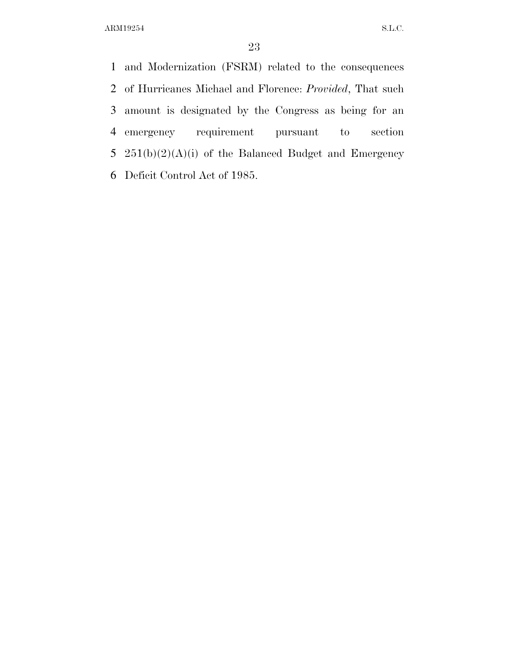and Modernization (FSRM) related to the consequences of Hurricanes Michael and Florence: *Provided*, That such amount is designated by the Congress as being for an emergency requirement pursuant to section 251(b)(2)(A)(i) of the Balanced Budget and Emergency Deficit Control Act of 1985.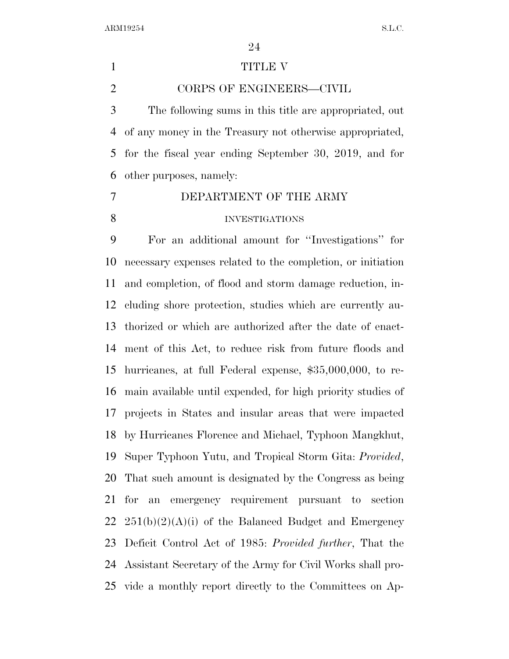#### 1 TITLE V

CORPS OF ENGINEERS—CIVIL

 The following sums in this title are appropriated, out of any money in the Treasury not otherwise appropriated, for the fiscal year ending September 30, 2019, and for other purposes, namely:

 DEPARTMENT OF THE ARMY INVESTIGATIONS

 For an additional amount for ''Investigations'' for necessary expenses related to the completion, or initiation and completion, of flood and storm damage reduction, in- cluding shore protection, studies which are currently au- thorized or which are authorized after the date of enact- ment of this Act, to reduce risk from future floods and hurricanes, at full Federal expense, \$35,000,000, to re- main available until expended, for high priority studies of projects in States and insular areas that were impacted by Hurricanes Florence and Michael, Typhoon Mangkhut, Super Typhoon Yutu, and Tropical Storm Gita: *Provided*, That such amount is designated by the Congress as being for an emergency requirement pursuant to section  $251(b)(2)(A)(i)$  of the Balanced Budget and Emergency Deficit Control Act of 1985: *Provided further*, That the Assistant Secretary of the Army for Civil Works shall pro-vide a monthly report directly to the Committees on Ap-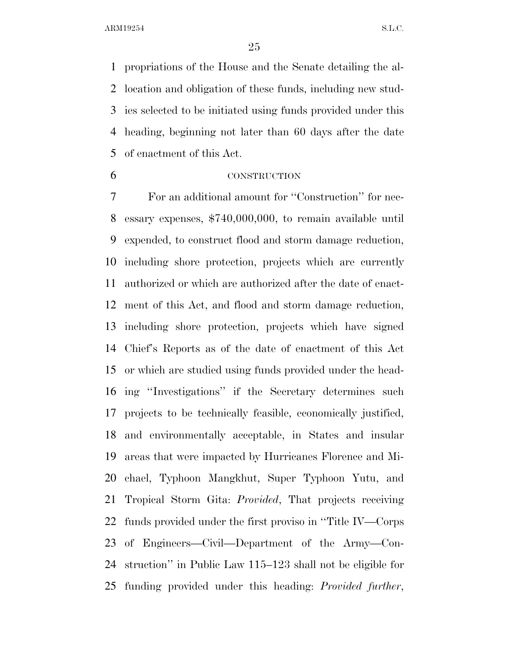propriations of the House and the Senate detailing the al- location and obligation of these funds, including new stud- ies selected to be initiated using funds provided under this heading, beginning not later than 60 days after the date of enactment of this Act.

## CONSTRUCTION

 For an additional amount for ''Construction'' for nec- essary expenses, \$740,000,000, to remain available until expended, to construct flood and storm damage reduction, including shore protection, projects which are currently authorized or which are authorized after the date of enact- ment of this Act, and flood and storm damage reduction, including shore protection, projects which have signed Chief's Reports as of the date of enactment of this Act or which are studied using funds provided under the head- ing ''Investigations'' if the Secretary determines such projects to be technically feasible, economically justified, and environmentally acceptable, in States and insular areas that were impacted by Hurricanes Florence and Mi- chael, Typhoon Mangkhut, Super Typhoon Yutu, and Tropical Storm Gita: *Provided*, That projects receiving funds provided under the first proviso in ''Title IV—Corps of Engineers—Civil—Department of the Army—Con- struction'' in Public Law 115–123 shall not be eligible for funding provided under this heading: *Provided further*,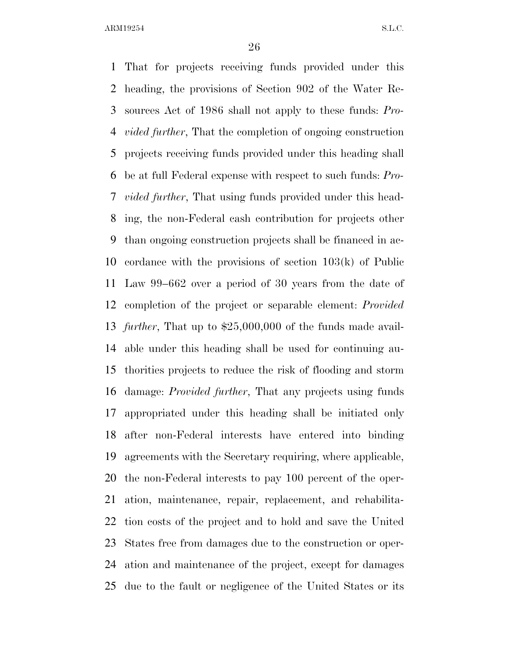That for projects receiving funds provided under this heading, the provisions of Section 902 of the Water Re- sources Act of 1986 shall not apply to these funds: *Pro- vided further*, That the completion of ongoing construction projects receiving funds provided under this heading shall be at full Federal expense with respect to such funds: *Pro- vided further*, That using funds provided under this head- ing, the non-Federal cash contribution for projects other than ongoing construction projects shall be financed in ac- cordance with the provisions of section 103(k) of Public Law 99–662 over a period of 30 years from the date of completion of the project or separable element: *Provided further*, That up to \$25,000,000 of the funds made avail- able under this heading shall be used for continuing au- thorities projects to reduce the risk of flooding and storm damage: *Provided further*, That any projects using funds appropriated under this heading shall be initiated only after non-Federal interests have entered into binding agreements with the Secretary requiring, where applicable, the non-Federal interests to pay 100 percent of the oper- ation, maintenance, repair, replacement, and rehabilita- tion costs of the project and to hold and save the United States free from damages due to the construction or oper- ation and maintenance of the project, except for damages due to the fault or negligence of the United States or its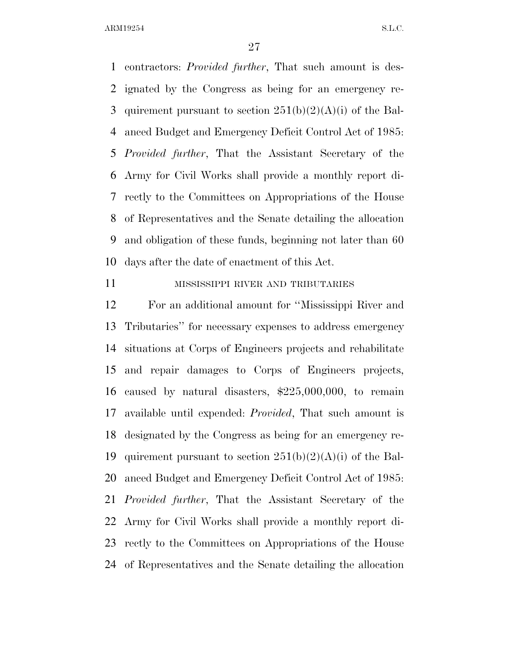contractors: *Provided further*, That such amount is des- ignated by the Congress as being for an emergency re-3 quirement pursuant to section  $251(b)(2)(A)(i)$  of the Bal- anced Budget and Emergency Deficit Control Act of 1985: *Provided further*, That the Assistant Secretary of the Army for Civil Works shall provide a monthly report di- rectly to the Committees on Appropriations of the House of Representatives and the Senate detailing the allocation and obligation of these funds, beginning not later than 60 days after the date of enactment of this Act.

#### MISSISSIPPI RIVER AND TRIBUTARIES

 For an additional amount for ''Mississippi River and Tributaries'' for necessary expenses to address emergency situations at Corps of Engineers projects and rehabilitate and repair damages to Corps of Engineers projects, caused by natural disasters, \$225,000,000, to remain available until expended: *Provided*, That such amount is designated by the Congress as being for an emergency re-19 quirement pursuant to section  $251(b)(2)(A)(i)$  of the Bal- anced Budget and Emergency Deficit Control Act of 1985: *Provided further*, That the Assistant Secretary of the Army for Civil Works shall provide a monthly report di- rectly to the Committees on Appropriations of the House of Representatives and the Senate detailing the allocation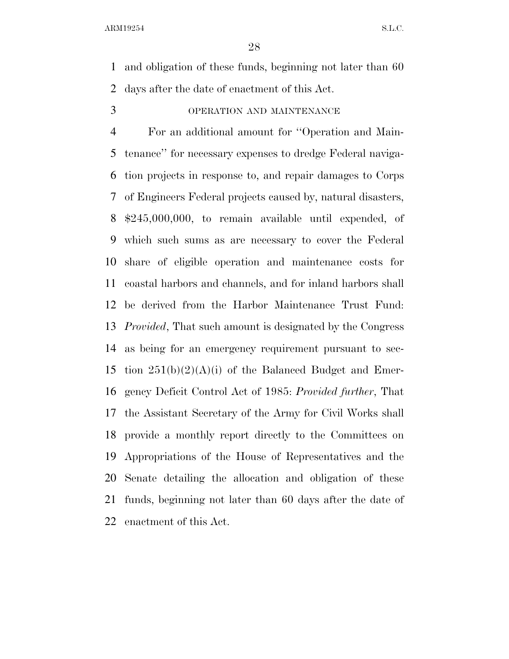and obligation of these funds, beginning not later than 60 days after the date of enactment of this Act.

OPERATION AND MAINTENANCE

 For an additional amount for ''Operation and Main- tenance'' for necessary expenses to dredge Federal naviga- tion projects in response to, and repair damages to Corps of Engineers Federal projects caused by, natural disasters, \$245,000,000, to remain available until expended, of which such sums as are necessary to cover the Federal share of eligible operation and maintenance costs for coastal harbors and channels, and for inland harbors shall be derived from the Harbor Maintenance Trust Fund: *Provided*, That such amount is designated by the Congress as being for an emergency requirement pursuant to sec-15 tion  $251(b)(2)(A)(i)$  of the Balanced Budget and Emer- gency Deficit Control Act of 1985: *Provided further*, That the Assistant Secretary of the Army for Civil Works shall provide a monthly report directly to the Committees on Appropriations of the House of Representatives and the Senate detailing the allocation and obligation of these funds, beginning not later than 60 days after the date of enactment of this Act.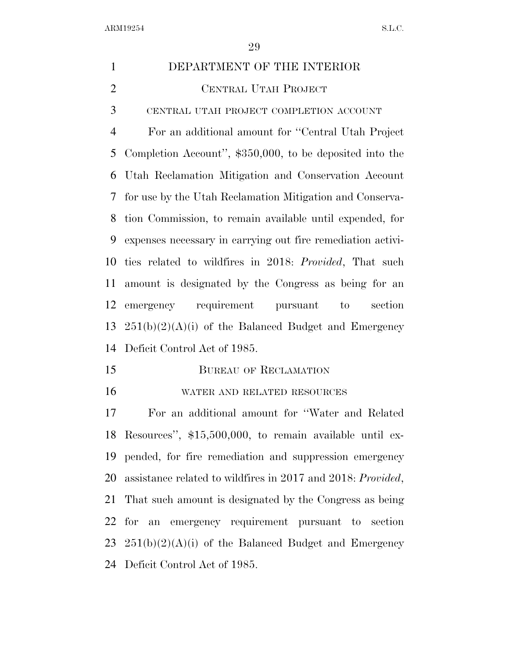| $\mathbf{1}$   | DEPARTMENT OF THE INTERIOR                                  |
|----------------|-------------------------------------------------------------|
| $\overline{2}$ | CENTRAL UTAH PROJECT                                        |
| 3              | CENTRAL UTAH PROJECT COMPLETION ACCOUNT                     |
| $\overline{4}$ | For an additional amount for "Central Utah Project"         |
| 5              | Completion Account", \$350,000, to be deposited into the    |
| 6              | Utah Reclamation Mitigation and Conservation Account        |
| 7              | for use by the Utah Reclamation Mitigation and Conserva-    |
| 8              | tion Commission, to remain available until expended, for    |
| 9              | expenses necessary in carrying out fire remediation activi- |
| 10             | ties related to wildfires in 2018: Provided, That such      |
| 11             | amount is designated by the Congress as being for an        |
| 12             | emergency requirement pursuant<br>to<br>section             |
| 13             | $251(b)(2)(A)(i)$ of the Balanced Budget and Emergency      |
| 14             | Deficit Control Act of 1985.                                |
| 15             | <b>BUREAU OF RECLAMATION</b>                                |
| 16             | WATER AND RELATED RESOURCES                                 |
| 17             | For an additional amount for "Water and Related"            |
|                | 18 Resources", \$15,500,000, to remain available until ex-  |
| 19             | pended, for fire remediation and suppression emergency      |
| 20             | assistance related to wildfires in 2017 and 2018: Provided, |
| 21             | That such amount is designated by the Congress as being     |
| 22             | for an emergency requirement pursuant to section            |
| 23             | $251(b)(2)(A)(i)$ of the Balanced Budget and Emergency      |
| 24             | Deficit Control Act of 1985.                                |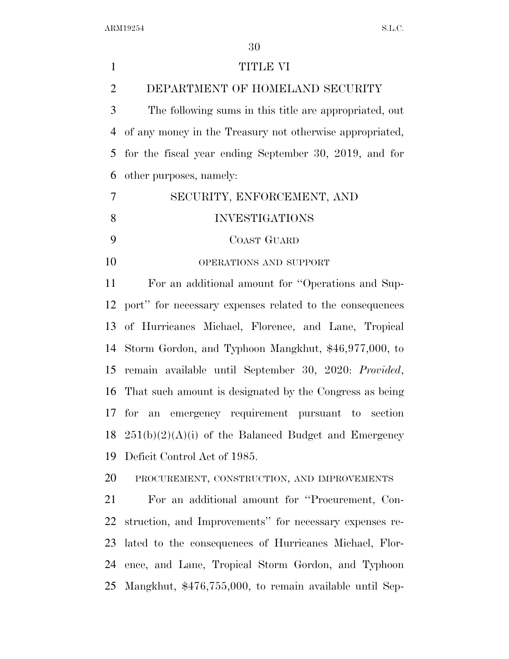| $\mathbf{1}$   | TITLE VI                                                 |
|----------------|----------------------------------------------------------|
| $\overline{2}$ | DEPARTMENT OF HOMELAND SECURITY                          |
| 3              | The following sums in this title are appropriated, out   |
| 4              | of any money in the Treasury not otherwise appropriated, |
| 5              | for the fiscal year ending September 30, 2019, and for   |
| 6              | other purposes, namely:                                  |
| 7              | SECURITY, ENFORCEMENT, AND                               |
| 8              | <b>INVESTIGATIONS</b>                                    |
| 9              | <b>COAST GUARD</b>                                       |
| 10             | OPERATIONS AND SUPPORT                                   |
| 11             | For an additional amount for "Operations and Sup-        |
| 12             | port" for necessary expenses related to the consequences |
| 13             | of Hurricanes Michael, Florence, and Lane, Tropical      |
| 14             | Storm Gordon, and Typhoon Mangkhut, \$46,977,000, to     |
| 15             | remain available until September 30, 2020: Provided,     |
| 16             | That such amount is designated by the Congress as being  |
|                | an emergency requirement pursuant to section<br>$17$ for |
| 18             | $251(b)(2)(A)(i)$ of the Balanced Budget and Emergency   |
| 19             | Deficit Control Act of 1985.                             |
| 20             | PROCUREMENT, CONSTRUCTION, AND IMPROVEMENTS              |
| 21             | For an additional amount for "Procurement, Con-          |
| 22             | struction, and Improvements" for necessary expenses re-  |
| 23             | lated to the consequences of Hurricanes Michael, Flor-   |
| 24             | ence, and Lane, Tropical Storm Gordon, and Typhoon       |
| 25             | Mangkhut, \$476,755,000, to remain available until Sep-  |
|                |                                                          |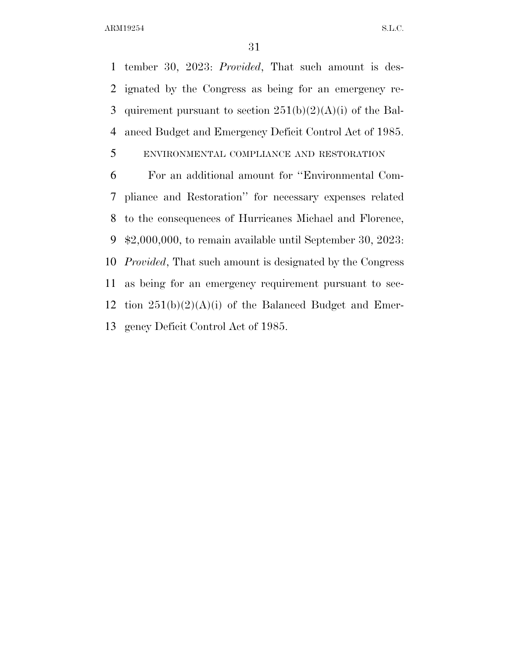tember 30, 2023: *Provided*, That such amount is des- ignated by the Congress as being for an emergency re-3 quirement pursuant to section  $251(b)(2)(A)(i)$  of the Bal-anced Budget and Emergency Deficit Control Act of 1985.

# ENVIRONMENTAL COMPLIANCE AND RESTORATION

 For an additional amount for ''Environmental Com- pliance and Restoration'' for necessary expenses related to the consequences of Hurricanes Michael and Florence, \$2,000,000, to remain available until September 30, 2023: *Provided*, That such amount is designated by the Congress as being for an emergency requirement pursuant to sec-12 tion  $251(b)(2)(A)(i)$  of the Balanced Budget and Emer-gency Deficit Control Act of 1985.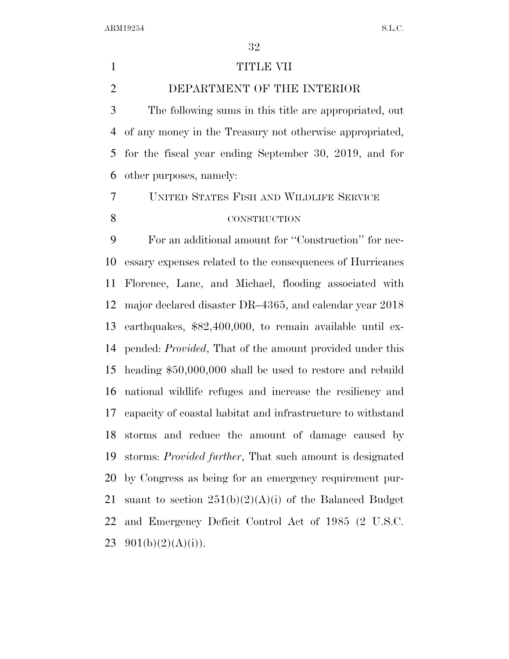#### 1 TITLE VII

DEPARTMENT OF THE INTERIOR

 The following sums in this title are appropriated, out of any money in the Treasury not otherwise appropriated, for the fiscal year ending September 30, 2019, and for other purposes, namely:

 UNITED STATES FISH AND WILDLIFE SERVICE CONSTRUCTION

 For an additional amount for ''Construction'' for nec- essary expenses related to the consequences of Hurricanes Florence, Lane, and Michael, flooding associated with major declared disaster DR–4365, and calendar year 2018 earthquakes, \$82,400,000, to remain available until ex- pended: *Provided*, That of the amount provided under this heading \$50,000,000 shall be used to restore and rebuild national wildlife refuges and increase the resiliency and capacity of coastal habitat and infrastructure to withstand storms and reduce the amount of damage caused by storms: *Provided further*, That such amount is designated by Congress as being for an emergency requirement pur-21 suant to section  $251(b)(2)(A)(i)$  of the Balanced Budget and Emergency Deficit Control Act of 1985 (2 U.S.C.  $901(b)(2)(A)(i)$ .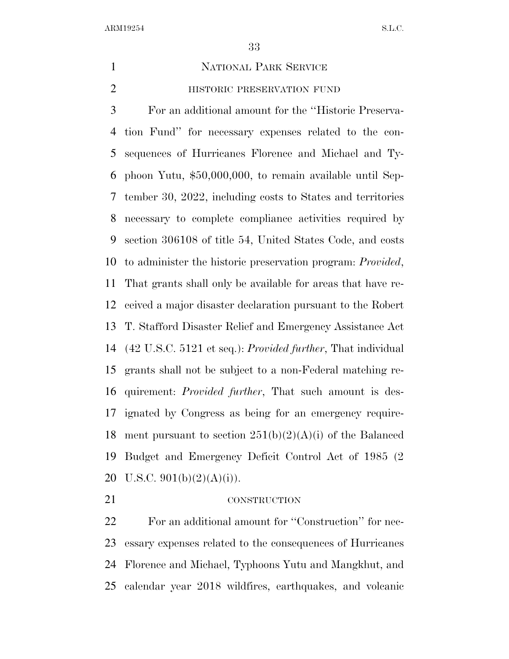#### NATIONAL PARK SERVICE

**HISTORIC PRESERVATION FUND** 

 For an additional amount for the ''Historic Preserva- tion Fund'' for necessary expenses related to the con- sequences of Hurricanes Florence and Michael and Ty- phoon Yutu, \$50,000,000, to remain available until Sep- tember 30, 2022, including costs to States and territories necessary to complete compliance activities required by section 306108 of title 54, United States Code, and costs to administer the historic preservation program: *Provided*, That grants shall only be available for areas that have re- ceived a major disaster declaration pursuant to the Robert T. Stafford Disaster Relief and Emergency Assistance Act (42 U.S.C. 5121 et seq.): *Provided further*, That individual grants shall not be subject to a non-Federal matching re- quirement: *Provided further*, That such amount is des- ignated by Congress as being for an emergency require-18 ment pursuant to section  $251(b)(2)(A)(i)$  of the Balanced Budget and Emergency Deficit Control Act of 1985 (2 20 U.S.C.  $901(b)(2)(A)(i)$ .

### 21 CONSTRUCTION

 For an additional amount for ''Construction'' for nec- essary expenses related to the consequences of Hurricanes Florence and Michael, Typhoons Yutu and Mangkhut, and calendar year 2018 wildfires, earthquakes, and volcanic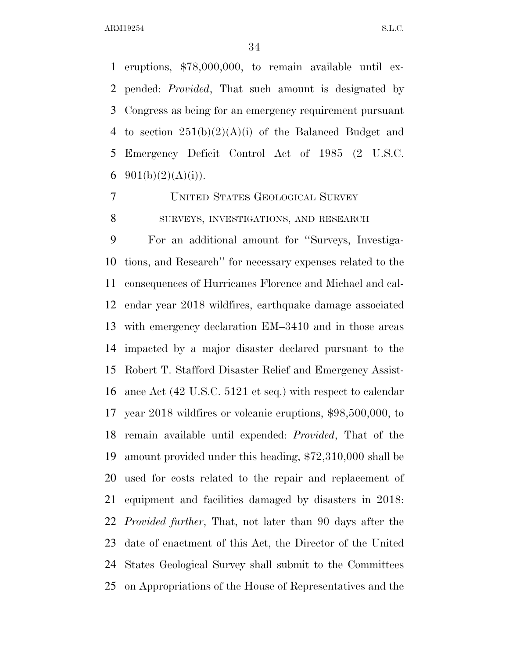eruptions, \$78,000,000, to remain available until ex- pended: *Provided*, That such amount is designated by Congress as being for an emergency requirement pursuant 4 to section  $251(b)(2)(A)(i)$  of the Balanced Budget and Emergency Deficit Control Act of 1985 (2 U.S.C.  $901(b)(2)(A(i))$ .

UNITED STATES GEOLOGICAL SURVEY

SURVEYS, INVESTIGATIONS, AND RESEARCH

 For an additional amount for ''Surveys, Investiga- tions, and Research'' for necessary expenses related to the consequences of Hurricanes Florence and Michael and cal- endar year 2018 wildfires, earthquake damage associated with emergency declaration EM–3410 and in those areas impacted by a major disaster declared pursuant to the Robert T. Stafford Disaster Relief and Emergency Assist- ance Act (42 U.S.C. 5121 et seq.) with respect to calendar year 2018 wildfires or volcanic eruptions, \$98,500,000, to remain available until expended: *Provided*, That of the amount provided under this heading, \$72,310,000 shall be used for costs related to the repair and replacement of equipment and facilities damaged by disasters in 2018: *Provided further*, That, not later than 90 days after the date of enactment of this Act, the Director of the United States Geological Survey shall submit to the Committees on Appropriations of the House of Representatives and the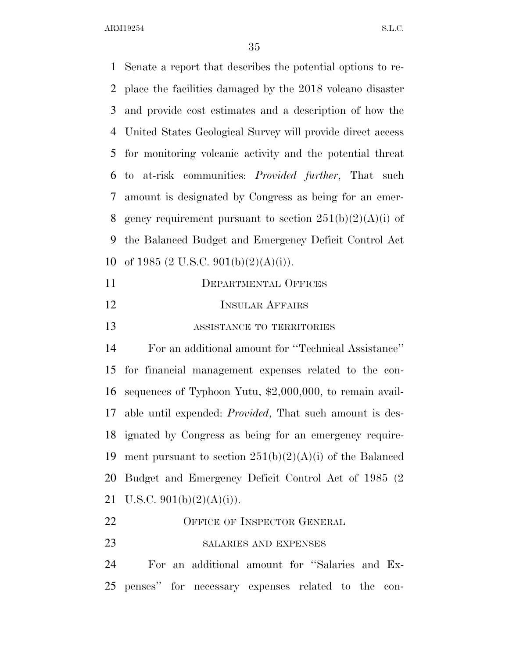Senate a report that describes the potential options to re- place the facilities damaged by the 2018 volcano disaster and provide cost estimates and a description of how the United States Geological Survey will provide direct access for monitoring volcanic activity and the potential threat to at-risk communities: *Provided further*, That such amount is designated by Congress as being for an emer-8 gency requirement pursuant to section  $251(b)(2)(A)(i)$  of the Balanced Budget and Emergency Deficit Control Act 10 of 1985 (2 U.S.C. 901(b)(2)(A)(i)). DEPARTMENTAL OFFICES **INSULAR AFFAIRS**  ASSISTANCE TO TERRITORIES For an additional amount for ''Technical Assistance'' for financial management expenses related to the con- sequences of Typhoon Yutu, \$2,000,000, to remain avail- able until expended: *Provided*, That such amount is des- ignated by Congress as being for an emergency require-19 ment pursuant to section  $251(b)(2)(A)(i)$  of the Balanced Budget and Emergency Deficit Control Act of 1985 (2 21 U.S.C.  $901(b)(2)(A)(i)$ . 22 OFFICE OF INSPECTOR GENERAL

23 SALARIES AND EXPENSES

 For an additional amount for ''Salaries and Ex-penses'' for necessary expenses related to the con-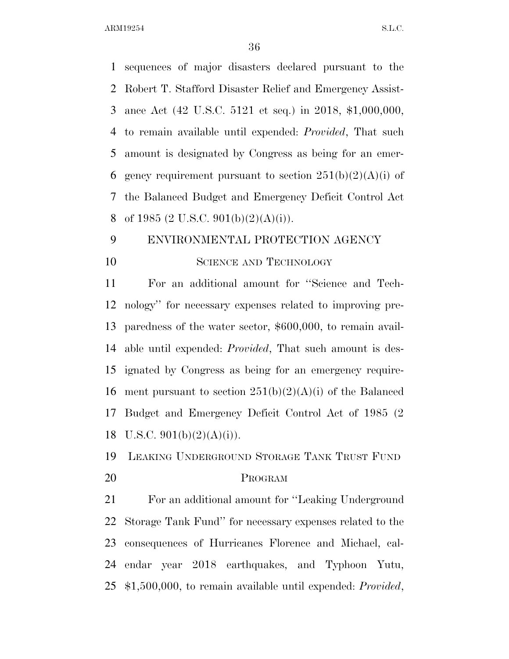sequences of major disasters declared pursuant to the Robert T. Stafford Disaster Relief and Emergency Assist- ance Act (42 U.S.C. 5121 et seq.) in 2018, \$1,000,000, to remain available until expended: *Provided*, That such amount is designated by Congress as being for an emer-6 gency requirement pursuant to section  $251(b)(2)(A)(i)$  of the Balanced Budget and Emergency Deficit Control Act 8 of 1985 (2 U.S.C. 901(b)(2)(A)(i)).

# ENVIRONMENTAL PROTECTION AGENCY 10 SCIENCE AND TECHNOLOGY

 For an additional amount for ''Science and Tech- nology'' for necessary expenses related to improving pre- paredness of the water sector, \$600,000, to remain avail- able until expended: *Provided*, That such amount is des- ignated by Congress as being for an emergency require-16 ment pursuant to section  $251(b)(2)(A)(i)$  of the Balanced Budget and Emergency Deficit Control Act of 1985 (2 18 U.S.C.  $901(b)(2)(A)(i)$ .

LEAKING UNDERGROUND STORAGE TANK TRUST FUND

### PROGRAM

 For an additional amount for ''Leaking Underground Storage Tank Fund'' for necessary expenses related to the consequences of Hurricanes Florence and Michael, cal- endar year 2018 earthquakes, and Typhoon Yutu, \$1,500,000, to remain available until expended: *Provided*,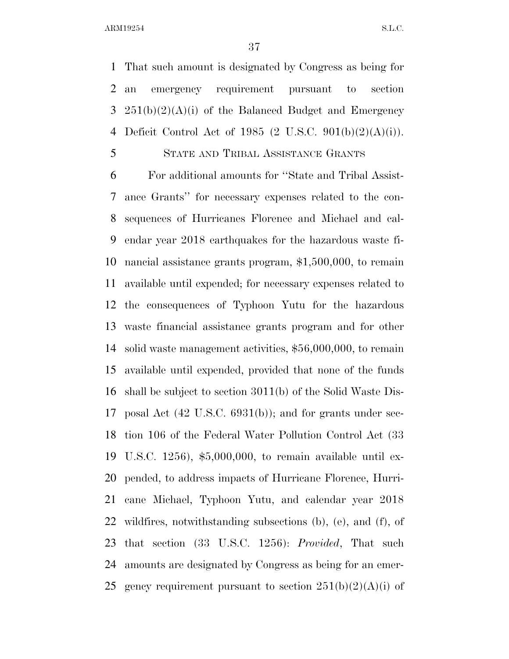That such amount is designated by Congress as being for an emergency requirement pursuant to section  $251(b)(2)(A)(i)$  of the Balanced Budget and Emergency Deficit Control Act of 1985 (2 U.S.C. 901(b)(2)(A)(i)).

STATE AND TRIBAL ASSISTANCE GRANTS

 For additional amounts for ''State and Tribal Assist- ance Grants'' for necessary expenses related to the con- sequences of Hurricanes Florence and Michael and cal- endar year 2018 earthquakes for the hazardous waste fi- nancial assistance grants program, \$1,500,000, to remain available until expended; for necessary expenses related to the consequences of Typhoon Yutu for the hazardous waste financial assistance grants program and for other solid waste management activities, \$56,000,000, to remain available until expended, provided that none of the funds shall be subject to section 3011(b) of the Solid Waste Dis- posal Act (42 U.S.C. 6931(b)); and for grants under sec- tion 106 of the Federal Water Pollution Control Act (33 U.S.C. 1256), \$5,000,000, to remain available until ex- pended, to address impacts of Hurricane Florence, Hurri- cane Michael, Typhoon Yutu, and calendar year 2018 wildfires, notwithstanding subsections (b), (e), and (f), of that section (33 U.S.C. 1256): *Provided*, That such amounts are designated by Congress as being for an emer-25 gency requirement pursuant to section  $251(b)(2)(A)(i)$  of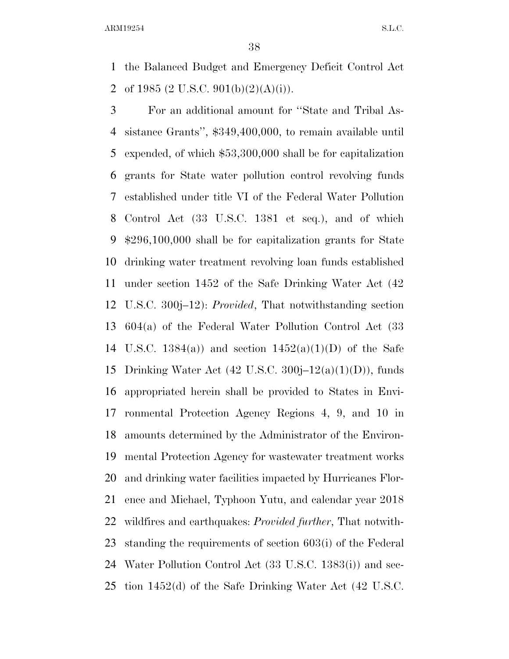the Balanced Budget and Emergency Deficit Control Act 2 of 1985 (2 U.S.C. 901(b)(2)(A)(i)).

 For an additional amount for ''State and Tribal As- sistance Grants'', \$349,400,000, to remain available until expended, of which \$53,300,000 shall be for capitalization grants for State water pollution control revolving funds established under title VI of the Federal Water Pollution Control Act (33 U.S.C. 1381 et seq.), and of which \$296,100,000 shall be for capitalization grants for State drinking water treatment revolving loan funds established under section 1452 of the Safe Drinking Water Act (42 U.S.C. 300j–12): *Provided*, That notwithstanding section 604(a) of the Federal Water Pollution Control Act (33 14 U.S.C. 1384(a)) and section  $1452(a)(1)(D)$  of the Safe 15 Drinking Water Act  $(42 \text{ U.S.C. } 300j-12(a)(1)(D))$ , funds appropriated herein shall be provided to States in Envi- ronmental Protection Agency Regions 4, 9, and 10 in amounts determined by the Administrator of the Environ- mental Protection Agency for wastewater treatment works and drinking water facilities impacted by Hurricanes Flor- ence and Michael, Typhoon Yutu, and calendar year 2018 wildfires and earthquakes: *Provided further*, That notwith- standing the requirements of section 603(i) of the Federal Water Pollution Control Act (33 U.S.C. 1383(i)) and sec-tion 1452(d) of the Safe Drinking Water Act (42 U.S.C.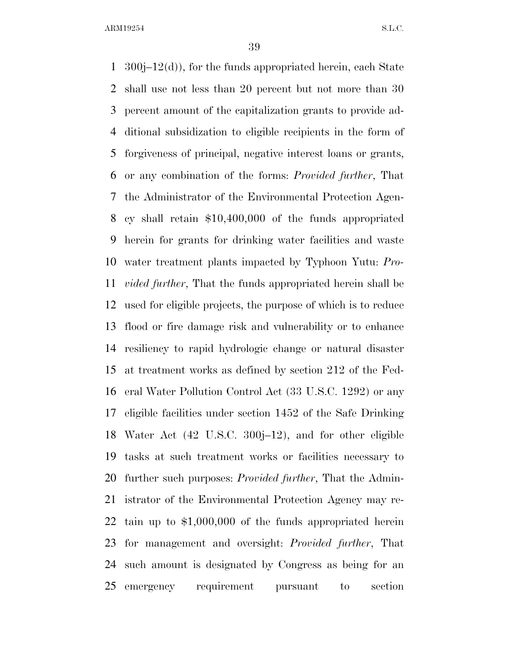300j–12(d)), for the funds appropriated herein, each State shall use not less than 20 percent but not more than 30 percent amount of the capitalization grants to provide ad- ditional subsidization to eligible recipients in the form of forgiveness of principal, negative interest loans or grants, or any combination of the forms: *Provided further*, That the Administrator of the Environmental Protection Agen- cy shall retain \$10,400,000 of the funds appropriated herein for grants for drinking water facilities and waste water treatment plants impacted by Typhoon Yutu: *Pro- vided further*, That the funds appropriated herein shall be used for eligible projects, the purpose of which is to reduce flood or fire damage risk and vulnerability or to enhance resiliency to rapid hydrologic change or natural disaster at treatment works as defined by section 212 of the Fed- eral Water Pollution Control Act (33 U.S.C. 1292) or any eligible facilities under section 1452 of the Safe Drinking Water Act (42 U.S.C. 300j–12), and for other eligible tasks at such treatment works or facilities necessary to further such purposes: *Provided further*, That the Admin- istrator of the Environmental Protection Agency may re- tain up to \$1,000,000 of the funds appropriated herein for management and oversight: *Provided further*, That such amount is designated by Congress as being for an emergency requirement pursuant to section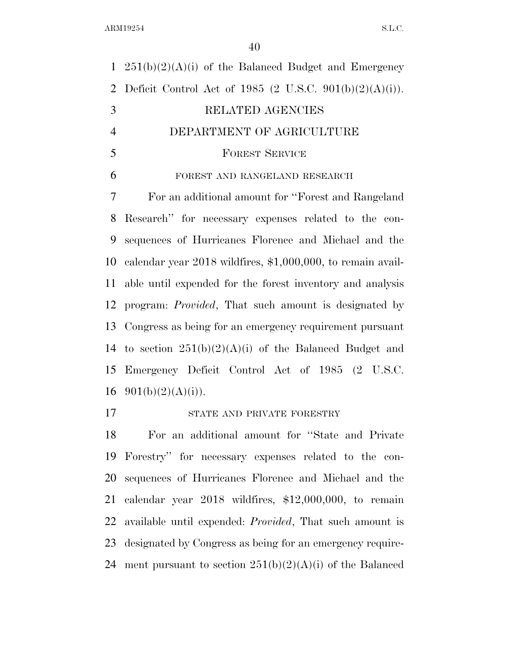$251(b)(2)(A)(i)$  of the Balanced Budget and Emergency 2 Deficit Control Act of 1985 (2 U.S.C.  $901(b)(2)(A)(i)$ ). RELATED AGENCIES DEPARTMENT OF AGRICULTURE FOREST SERVICE FOREST AND RANGELAND RESEARCH For an additional amount for ''Forest and Rangeland Research'' for necessary expenses related to the con- sequences of Hurricanes Florence and Michael and the calendar year 2018 wildfires, \$1,000,000, to remain avail- able until expended for the forest inventory and analysis program: *Provided*, That such amount is designated by Congress as being for an emergency requirement pursuant 14 to section  $251(b)(2)(A)(i)$  of the Balanced Budget and Emergency Deficit Control Act of 1985 (2 U.S.C.  $901(b)(2)(A)(i)$ . STATE AND PRIVATE FORESTRY

 For an additional amount for ''State and Private Forestry'' for necessary expenses related to the con- sequences of Hurricanes Florence and Michael and the calendar year 2018 wildfires, \$12,000,000, to remain available until expended: *Provided*, That such amount is designated by Congress as being for an emergency require-24 ment pursuant to section  $251(b)(2)(A)(i)$  of the Balanced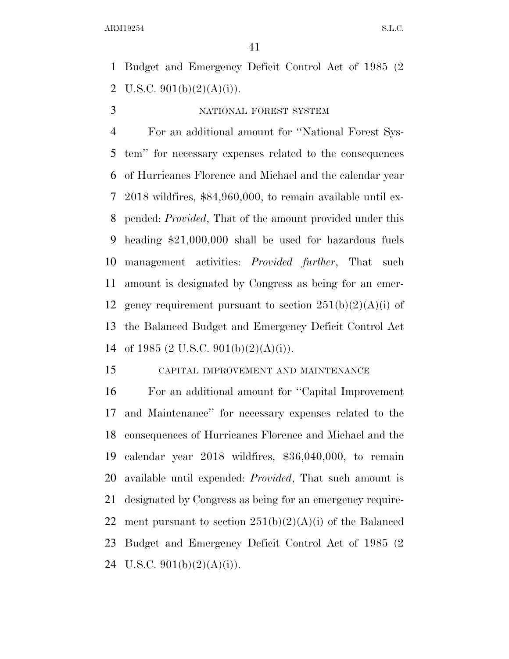Budget and Emergency Deficit Control Act of 1985 (2 2 U.S.C.  $901(b)(2)(A)(i)$ .

#### 3 NATIONAL FOREST SYSTEM

 For an additional amount for ''National Forest Sys- tem'' for necessary expenses related to the consequences of Hurricanes Florence and Michael and the calendar year 2018 wildfires, \$84,960,000, to remain available until ex- pended: *Provided*, That of the amount provided under this heading \$21,000,000 shall be used for hazardous fuels management activities: *Provided further*, That such amount is designated by Congress as being for an emer-12 gency requirement pursuant to section  $251(b)(2)(A)(i)$  of the Balanced Budget and Emergency Deficit Control Act 14 of 1985 (2 U.S.C. 901(b)(2)(A)(i)).

#### CAPITAL IMPROVEMENT AND MAINTENANCE

 For an additional amount for ''Capital Improvement and Maintenance'' for necessary expenses related to the consequences of Hurricanes Florence and Michael and the calendar year 2018 wildfires, \$36,040,000, to remain available until expended: *Provided*, That such amount is designated by Congress as being for an emergency require-22 ment pursuant to section  $251(b)(2)(A)(i)$  of the Balanced Budget and Emergency Deficit Control Act of 1985 (2 24 U.S.C.  $901(b)(2)(A)(i)$ .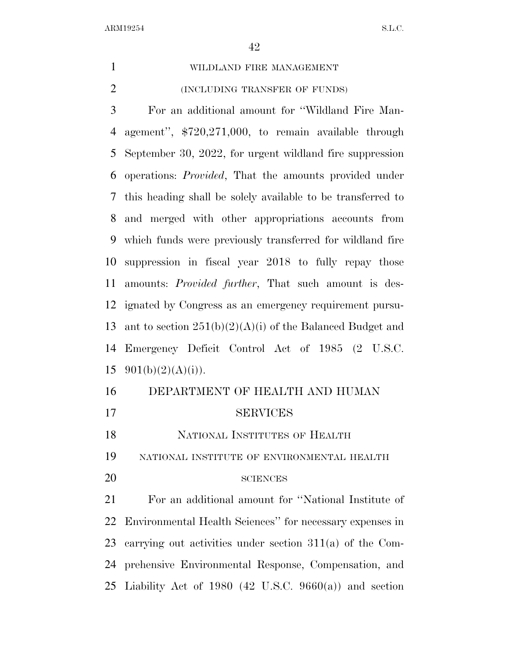WILDLAND FIRE MANAGEMENT (INCLUDING TRANSFER OF FUNDS)

 For an additional amount for ''Wildland Fire Man- agement'', \$720,271,000, to remain available through September 30, 2022, for urgent wildland fire suppression operations: *Provided*, That the amounts provided under this heading shall be solely available to be transferred to and merged with other appropriations accounts from which funds were previously transferred for wildland fire suppression in fiscal year 2018 to fully repay those amounts: *Provided further*, That such amount is des- ignated by Congress as an emergency requirement pursu-13 ant to section  $251(b)(2)(A)(i)$  of the Balanced Budget and Emergency Deficit Control Act of 1985 (2 U.S.C.  $901(b)(2)(A)(i)$ .

| 16 | DEPARTMENT OF HEALTH AND HUMAN                                |
|----|---------------------------------------------------------------|
| 17 | <b>SERVICES</b>                                               |
| 18 | NATIONAL INSTITUTES OF HEALTH                                 |
| 19 | NATIONAL INSTITUTE OF ENVIRONMENTAL HEALTH                    |
| 20 | <b>SCIENCES</b>                                               |
| 21 | For an additional amount for "National Institute of           |
|    | 22 Environmental Health Sciences" for necessary expenses in   |
|    | 23 carrying out activities under section $311(a)$ of the Com- |
|    | 24 prehensive Environmental Response, Compensation, and       |
|    | 25 Liability Act of 1980 (42 U.S.C. 9660(a)) and section      |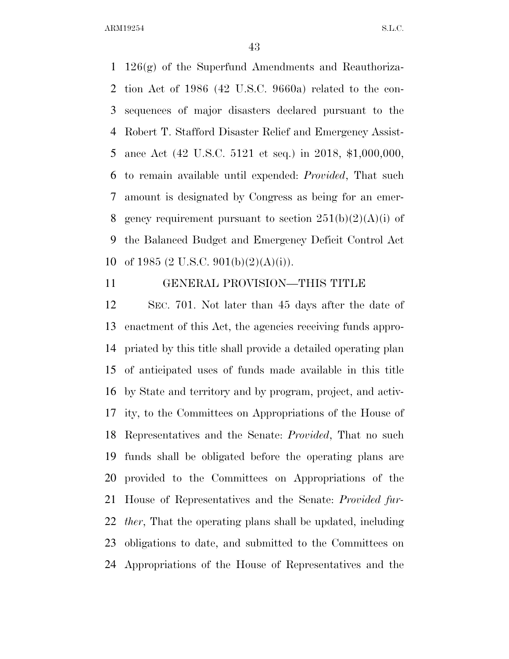126(g) of the Superfund Amendments and Reauthoriza- tion Act of 1986 (42 U.S.C. 9660a) related to the con- sequences of major disasters declared pursuant to the Robert T. Stafford Disaster Relief and Emergency Assist- ance Act (42 U.S.C. 5121 et seq.) in 2018, \$1,000,000, to remain available until expended: *Provided*, That such amount is designated by Congress as being for an emer-8 gency requirement pursuant to section  $251(b)(2)(A)(i)$  of the Balanced Budget and Emergency Deficit Control Act 10 of 1985 (2 U.S.C. 901(b)(2)(A)(i)).

#### GENERAL PROVISION—THIS TITLE

 SEC. 701. Not later than 45 days after the date of enactment of this Act, the agencies receiving funds appro- priated by this title shall provide a detailed operating plan of anticipated uses of funds made available in this title by State and territory and by program, project, and activ- ity, to the Committees on Appropriations of the House of Representatives and the Senate: *Provided*, That no such funds shall be obligated before the operating plans are provided to the Committees on Appropriations of the House of Representatives and the Senate: *Provided fur- ther*, That the operating plans shall be updated, including obligations to date, and submitted to the Committees on Appropriations of the House of Representatives and the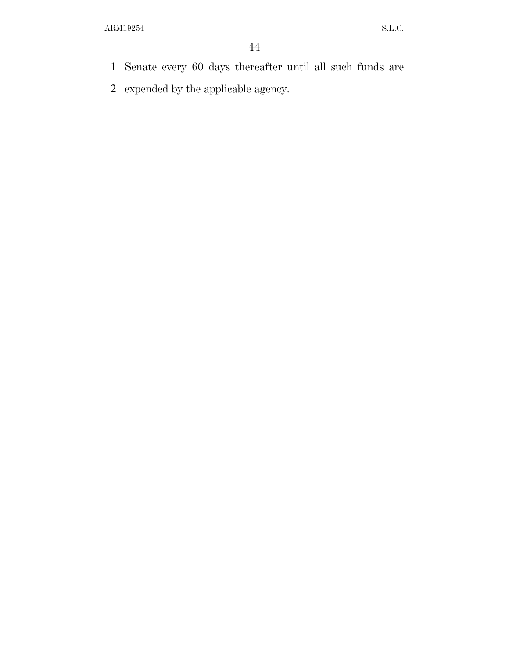- Senate every 60 days thereafter until all such funds are
- expended by the applicable agency.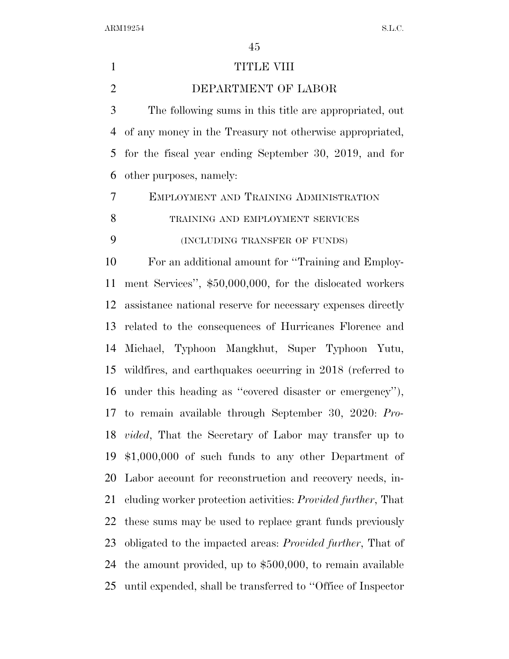| $\mathbf{1}$   | TITLE VIII                                                           |
|----------------|----------------------------------------------------------------------|
| $\overline{2}$ | DEPARTMENT OF LABOR                                                  |
| 3              | The following sums in this title are appropriated, out               |
| 4              | of any money in the Treasury not otherwise appropriated,             |
| 5              | for the fiscal year ending September 30, 2019, and for               |
| 6              | other purposes, namely:                                              |
| $\overline{7}$ | EMPLOYMENT AND TRAINING ADMINISTRATION                               |
| $8\,$          | TRAINING AND EMPLOYMENT SERVICES                                     |
| 9              | (INCLUDING TRANSFER OF FUNDS)                                        |
| 10             | For an additional amount for "Training and Employ-                   |
| 11             | ment Services", \$50,000,000, for the dislocated workers             |
| 12             | assistance national reserve for necessary expenses directly          |
| 13             | related to the consequences of Hurricanes Florence and               |
| 14             | Michael, Typhoon Mangkhut, Super Typhoon Yutu,                       |
| 15             | wildfires, and earthquakes occurring in 2018 (referred to            |
| 16             | under this heading as "covered disaster or emergency"),              |
|                | 17 to remain available through September 30, 2020: Pro-              |
|                | 18 <i>vided</i> , That the Secretary of Labor may transfer up to     |
| 19             | $$1,000,000$ of such funds to any other Department of                |
| 20             | Labor account for reconstruction and recovery needs, in-             |
| 21             | cluding worker protection activities: <i>Provided further</i> , That |
| 22             | these sums may be used to replace grant funds previously             |
| 23             | obligated to the impacted areas: <i>Provided further</i> , That of   |
| 24             | the amount provided, up to $$500,000$ , to remain available          |
| 25             | until expended, shall be transferred to "Office of Inspector"        |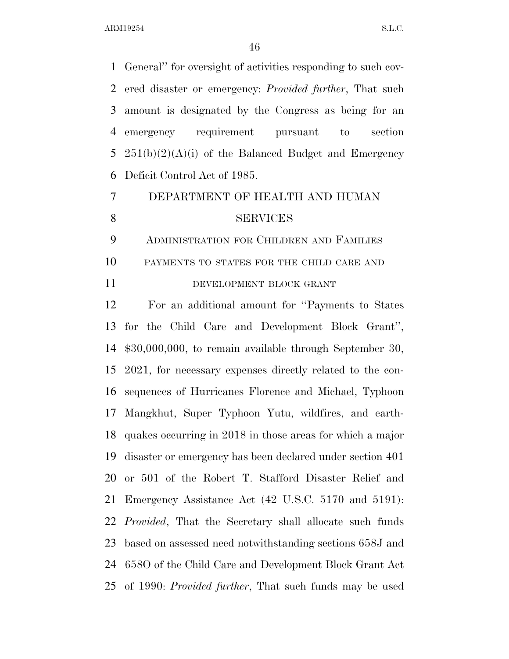General'' for oversight of activities responding to such cov- ered disaster or emergency: *Provided further*, That such amount is designated by the Congress as being for an emergency requirement pursuant to section  $251(b)(2)(A)(i)$  of the Balanced Budget and Emergency Deficit Control Act of 1985.

## DEPARTMENT OF HEALTH AND HUMAN 8 SERVICES

 ADMINISTRATION FOR CHILDREN AND FAMILIES PAYMENTS TO STATES FOR THE CHILD CARE AND

#### 11 DEVELOPMENT BLOCK GRANT

 For an additional amount for ''Payments to States for the Child Care and Development Block Grant'', \$30,000,000, to remain available through September 30, 2021, for necessary expenses directly related to the con- sequences of Hurricanes Florence and Michael, Typhoon Mangkhut, Super Typhoon Yutu, wildfires, and earth- quakes occurring in 2018 in those areas for which a major disaster or emergency has been declared under section 401 or 501 of the Robert T. Stafford Disaster Relief and Emergency Assistance Act (42 U.S.C. 5170 and 5191): *Provided*, That the Secretary shall allocate such funds based on assessed need notwithstanding sections 658J and 658O of the Child Care and Development Block Grant Act of 1990: *Provided further*, That such funds may be used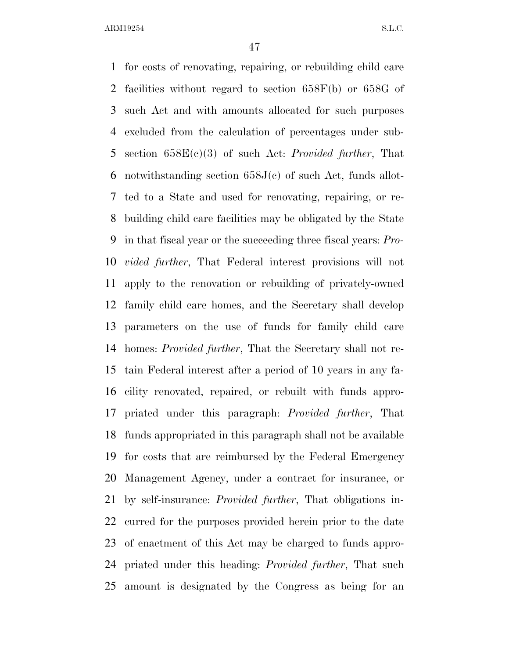for costs of renovating, repairing, or rebuilding child care facilities without regard to section 658F(b) or 658G of such Act and with amounts allocated for such purposes excluded from the calculation of percentages under sub- section 658E(c)(3) of such Act: *Provided further*, That 6 notwithstanding section  $658J(c)$  of such Act, funds allot- ted to a State and used for renovating, repairing, or re- building child care facilities may be obligated by the State in that fiscal year or the succeeding three fiscal years: *Pro- vided further*, That Federal interest provisions will not apply to the renovation or rebuilding of privately-owned family child care homes, and the Secretary shall develop parameters on the use of funds for family child care homes: *Provided further*, That the Secretary shall not re- tain Federal interest after a period of 10 years in any fa- cility renovated, repaired, or rebuilt with funds appro- priated under this paragraph: *Provided further*, That funds appropriated in this paragraph shall not be available for costs that are reimbursed by the Federal Emergency Management Agency, under a contract for insurance, or by self-insurance: *Provided further*, That obligations in- curred for the purposes provided herein prior to the date of enactment of this Act may be charged to funds appro- priated under this heading: *Provided further*, That such amount is designated by the Congress as being for an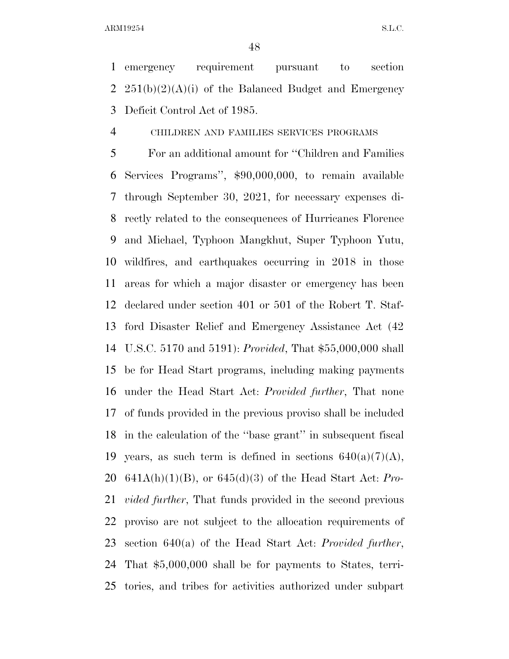emergency requirement pursuant to section 2  $251(b)(2)(A)(i)$  of the Balanced Budget and Emergency Deficit Control Act of 1985.

CHILDREN AND FAMILIES SERVICES PROGRAMS

 For an additional amount for ''Children and Families Services Programs'', \$90,000,000, to remain available through September 30, 2021, for necessary expenses di- rectly related to the consequences of Hurricanes Florence and Michael, Typhoon Mangkhut, Super Typhoon Yutu, wildfires, and earthquakes occurring in 2018 in those areas for which a major disaster or emergency has been declared under section 401 or 501 of the Robert T. Staf- ford Disaster Relief and Emergency Assistance Act (42 U.S.C. 5170 and 5191): *Provided*, That \$55,000,000 shall be for Head Start programs, including making payments under the Head Start Act: *Provided further*, That none of funds provided in the previous proviso shall be included in the calculation of the ''base grant'' in subsequent fiscal 19 years, as such term is defined in sections  $640(a)(7)(A)$ , 641A(h)(1)(B), or 645(d)(3) of the Head Start Act: *Pro- vided further*, That funds provided in the second previous proviso are not subject to the allocation requirements of section 640(a) of the Head Start Act: *Provided further*, That \$5,000,000 shall be for payments to States, terri-tories, and tribes for activities authorized under subpart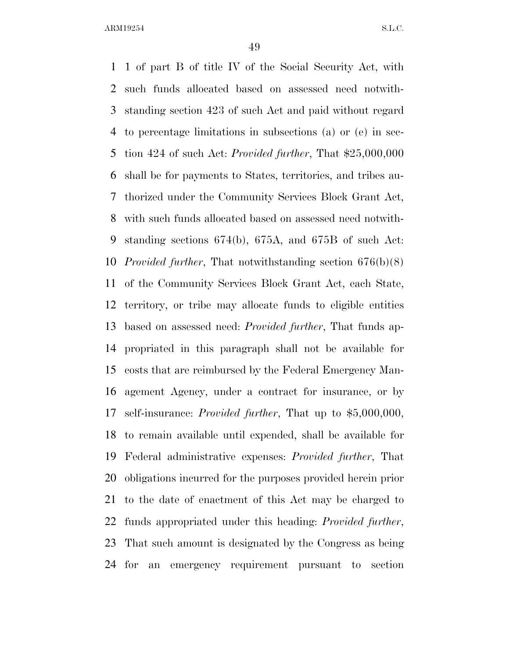1 of part B of title IV of the Social Security Act, with such funds allocated based on assessed need notwith- standing section 423 of such Act and paid without regard to percentage limitations in subsections (a) or (e) in sec- tion 424 of such Act: *Provided further*, That \$25,000,000 shall be for payments to States, territories, and tribes au- thorized under the Community Services Block Grant Act, with such funds allocated based on assessed need notwith- standing sections 674(b), 675A, and 675B of such Act: *Provided further*, That notwithstanding section 676(b)(8) of the Community Services Block Grant Act, each State, territory, or tribe may allocate funds to eligible entities based on assessed need: *Provided further*, That funds ap- propriated in this paragraph shall not be available for costs that are reimbursed by the Federal Emergency Man- agement Agency, under a contract for insurance, or by self-insurance: *Provided further*, That up to \$5,000,000, to remain available until expended, shall be available for Federal administrative expenses: *Provided further*, That obligations incurred for the purposes provided herein prior to the date of enactment of this Act may be charged to funds appropriated under this heading: *Provided further*, That such amount is designated by the Congress as being for an emergency requirement pursuant to section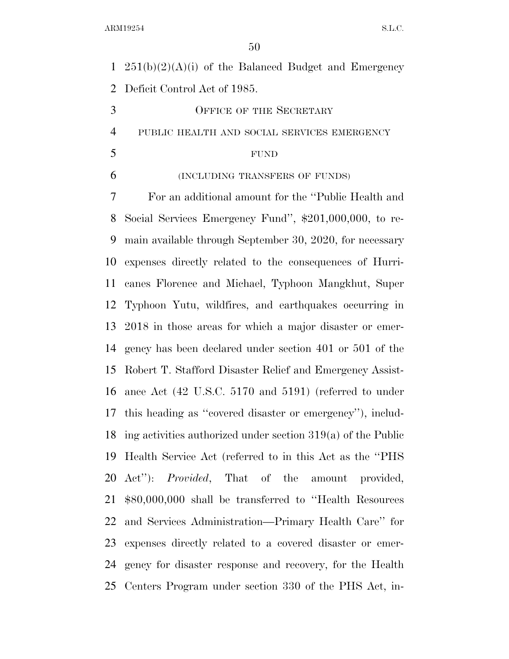1  $251(b)(2)(A)(i)$  of the Balanced Budget and Emergency Deficit Control Act of 1985.

3 OFFICE OF THE SECRETARY

PUBLIC HEALTH AND SOCIAL SERVICES EMERGENCY

#### FUND

(INCLUDING TRANSFERS OF FUNDS)

 For an additional amount for the ''Public Health and Social Services Emergency Fund'', \$201,000,000, to re- main available through September 30, 2020, for necessary expenses directly related to the consequences of Hurri- canes Florence and Michael, Typhoon Mangkhut, Super Typhoon Yutu, wildfires, and earthquakes occurring in 2018 in those areas for which a major disaster or emer- gency has been declared under section 401 or 501 of the Robert T. Stafford Disaster Relief and Emergency Assist- ance Act (42 U.S.C. 5170 and 5191) (referred to under this heading as ''covered disaster or emergency''), includ- ing activities authorized under section 319(a) of the Public Health Service Act (referred to in this Act as the ''PHS Act''): *Provided*, That of the amount provided, \$80,000,000 shall be transferred to ''Health Resources and Services Administration—Primary Health Care'' for expenses directly related to a covered disaster or emer- gency for disaster response and recovery, for the Health Centers Program under section 330 of the PHS Act, in-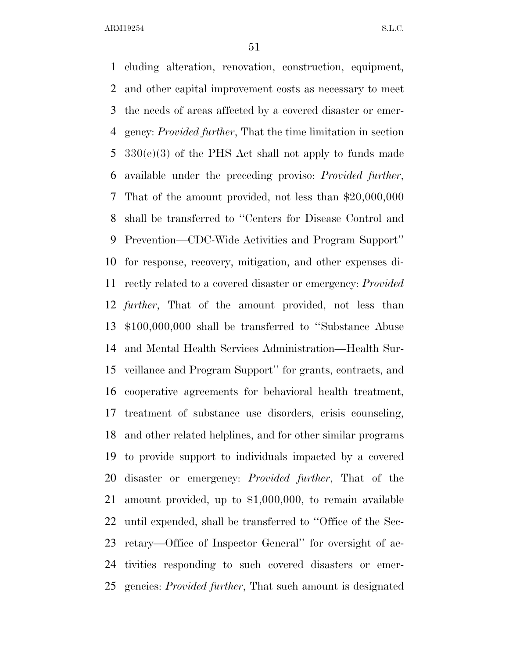cluding alteration, renovation, construction, equipment, and other capital improvement costs as necessary to meet the needs of areas affected by a covered disaster or emer- gency: *Provided further*, That the time limitation in section 330(e)(3) of the PHS Act shall not apply to funds made available under the preceding proviso: *Provided further*, That of the amount provided, not less than \$20,000,000 shall be transferred to ''Centers for Disease Control and Prevention—CDC-Wide Activities and Program Support'' for response, recovery, mitigation, and other expenses di- rectly related to a covered disaster or emergency: *Provided further*, That of the amount provided, not less than \$100,000,000 shall be transferred to ''Substance Abuse and Mental Health Services Administration—Health Sur- veillance and Program Support'' for grants, contracts, and cooperative agreements for behavioral health treatment, treatment of substance use disorders, crisis counseling, and other related helplines, and for other similar programs to provide support to individuals impacted by a covered disaster or emergency: *Provided further*, That of the amount provided, up to \$1,000,000, to remain available until expended, shall be transferred to ''Office of the Sec- retary—Office of Inspector General'' for oversight of ac- tivities responding to such covered disasters or emer-gencies: *Provided further*, That such amount is designated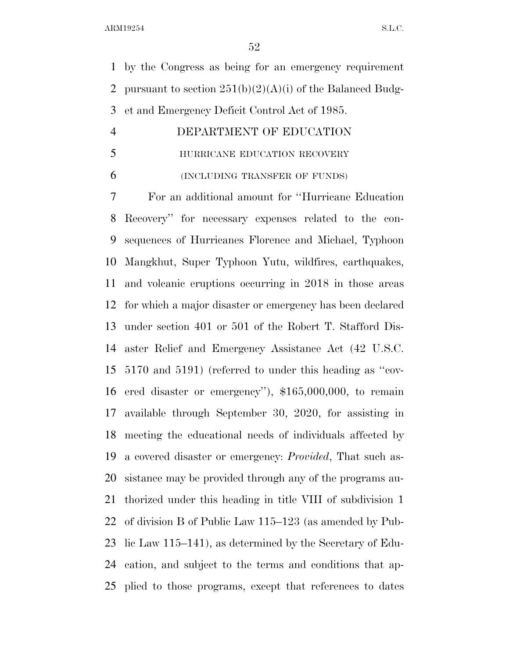by the Congress as being for an emergency requirement 2 pursuant to section  $251(b)(2)(A)(i)$  of the Balanced Budg-et and Emergency Deficit Control Act of 1985.

# DEPARTMENT OF EDUCATION

### **HURRICANE EDUCATION RECOVERY**

(INCLUDING TRANSFER OF FUNDS)

 For an additional amount for ''Hurricane Education Recovery'' for necessary expenses related to the con- sequences of Hurricanes Florence and Michael, Typhoon Mangkhut, Super Typhoon Yutu, wildfires, earthquakes, and volcanic eruptions occurring in 2018 in those areas for which a major disaster or emergency has been declared under section 401 or 501 of the Robert T. Stafford Dis- aster Relief and Emergency Assistance Act (42 U.S.C. 5170 and 5191) (referred to under this heading as ''cov- ered disaster or emergency''), \$165,000,000, to remain available through September 30, 2020, for assisting in meeting the educational needs of individuals affected by a covered disaster or emergency: *Provided*, That such as- sistance may be provided through any of the programs au- thorized under this heading in title VIII of subdivision 1 of division B of Public Law 115–123 (as amended by Pub- lic Law 115–141), as determined by the Secretary of Edu- cation, and subject to the terms and conditions that ap-plied to those programs, except that references to dates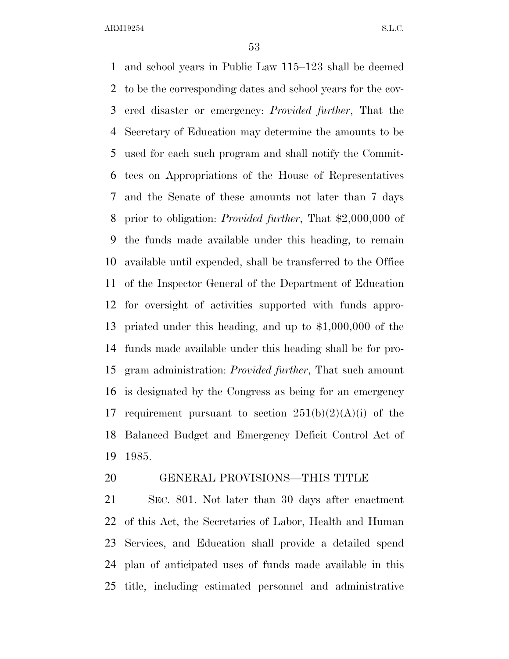and school years in Public Law 115–123 shall be deemed to be the corresponding dates and school years for the cov- ered disaster or emergency: *Provided further*, That the Secretary of Education may determine the amounts to be used for each such program and shall notify the Commit- tees on Appropriations of the House of Representatives and the Senate of these amounts not later than 7 days prior to obligation: *Provided further*, That \$2,000,000 of the funds made available under this heading, to remain available until expended, shall be transferred to the Office of the Inspector General of the Department of Education for oversight of activities supported with funds appro- priated under this heading, and up to \$1,000,000 of the funds made available under this heading shall be for pro- gram administration: *Provided further*, That such amount is designated by the Congress as being for an emergency 17 requirement pursuant to section  $251(b)(2)(A)(i)$  of the Balanced Budget and Emergency Deficit Control Act of 1985.

#### GENERAL PROVISIONS—THIS TITLE

 SEC. 801. Not later than 30 days after enactment of this Act, the Secretaries of Labor, Health and Human Services, and Education shall provide a detailed spend plan of anticipated uses of funds made available in this title, including estimated personnel and administrative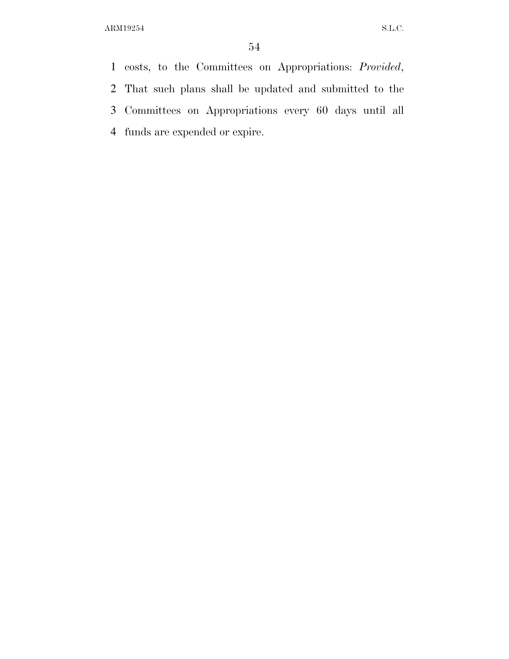costs, to the Committees on Appropriations: *Provided*, That such plans shall be updated and submitted to the Committees on Appropriations every 60 days until all funds are expended or expire.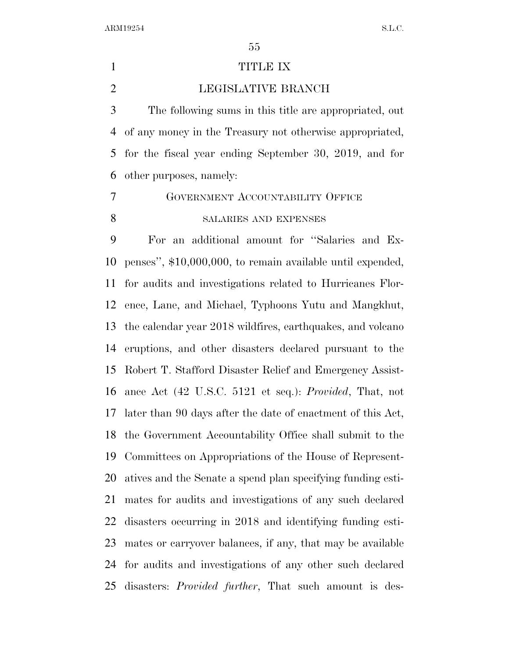#### 1 TITLE IX

LEGISLATIVE BRANCH

 The following sums in this title are appropriated, out of any money in the Treasury not otherwise appropriated, for the fiscal year ending September 30, 2019, and for other purposes, namely:

 GOVERNMENT ACCOUNTABILITY OFFICE 8 SALARIES AND EXPENSES

 For an additional amount for ''Salaries and Ex- penses'', \$10,000,000, to remain available until expended, for audits and investigations related to Hurricanes Flor- ence, Lane, and Michael, Typhoons Yutu and Mangkhut, the calendar year 2018 wildfires, earthquakes, and volcano eruptions, and other disasters declared pursuant to the Robert T. Stafford Disaster Relief and Emergency Assist- ance Act (42 U.S.C. 5121 et seq.): *Provided*, That, not later than 90 days after the date of enactment of this Act, the Government Accountability Office shall submit to the Committees on Appropriations of the House of Represent- atives and the Senate a spend plan specifying funding esti- mates for audits and investigations of any such declared disasters occurring in 2018 and identifying funding esti- mates or carryover balances, if any, that may be available for audits and investigations of any other such declared disasters: *Provided further*, That such amount is des-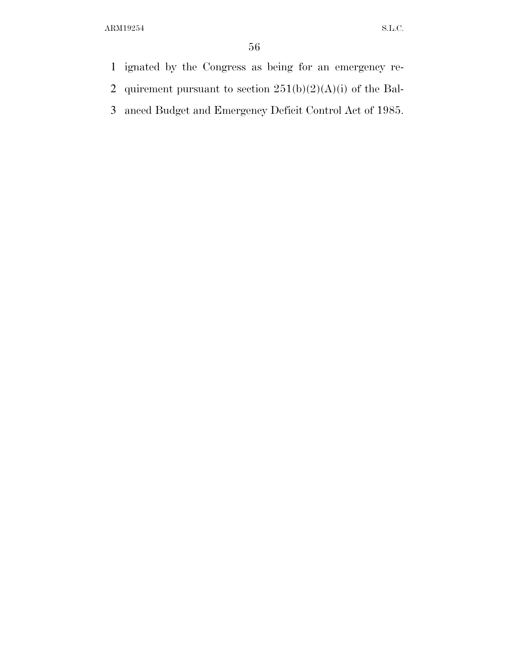- 1 ignated by the Congress as being for an emergency re-
- 2 quirement pursuant to section  $251(b)(2)(A)(i)$  of the Bal-
- 3 anced Budget and Emergency Deficit Control Act of 1985.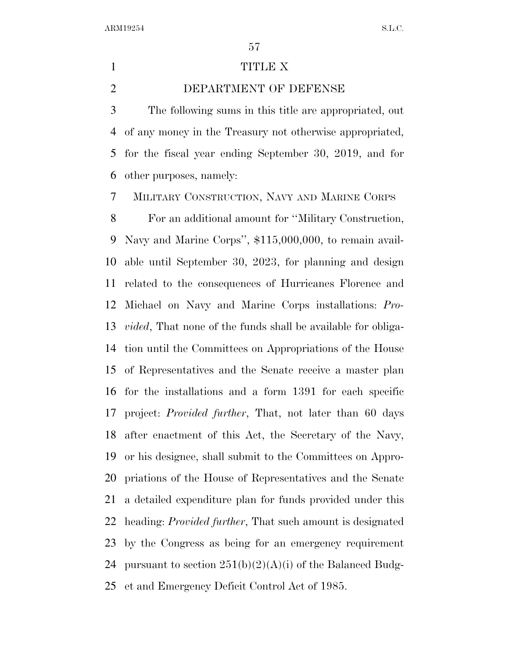#### 1 TITLE X

DEPARTMENT OF DEFENSE

 The following sums in this title are appropriated, out of any money in the Treasury not otherwise appropriated, for the fiscal year ending September 30, 2019, and for other purposes, namely:

MILITARY CONSTRUCTION, NAVY AND MARINE CORPS

 For an additional amount for ''Military Construction, Navy and Marine Corps'', \$115,000,000, to remain avail- able until September 30, 2023, for planning and design related to the consequences of Hurricanes Florence and Michael on Navy and Marine Corps installations: *Pro- vided*, That none of the funds shall be available for obliga- tion until the Committees on Appropriations of the House of Representatives and the Senate receive a master plan for the installations and a form 1391 for each specific project: *Provided further*, That, not later than 60 days after enactment of this Act, the Secretary of the Navy, or his designee, shall submit to the Committees on Appro- priations of the House of Representatives and the Senate a detailed expenditure plan for funds provided under this heading: *Provided further*, That such amount is designated by the Congress as being for an emergency requirement 24 pursuant to section  $251(b)(2)(A)(i)$  of the Balanced Budg-et and Emergency Deficit Control Act of 1985.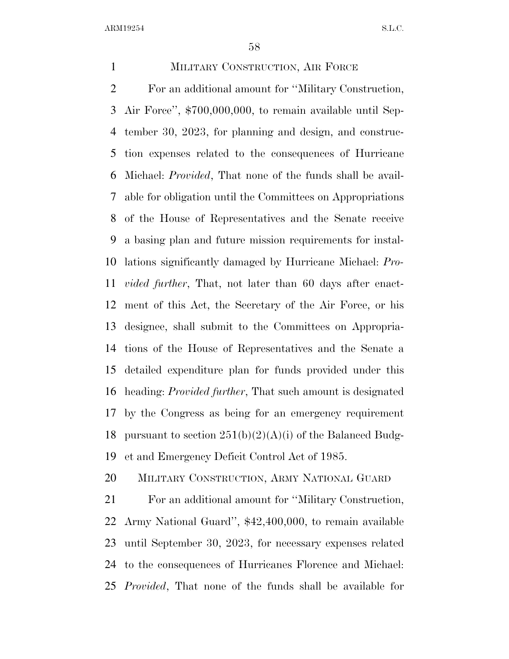MILITARY CONSTRUCTION, AIR FORCE For an additional amount for ''Military Construction, Air Force'', \$700,000,000, to remain available until Sep- tember 30, 2023, for planning and design, and construc- tion expenses related to the consequences of Hurricane Michael: *Provided*, That none of the funds shall be avail- able for obligation until the Committees on Appropriations of the House of Representatives and the Senate receive a basing plan and future mission requirements for instal- lations significantly damaged by Hurricane Michael: *Pro- vided further*, That, not later than 60 days after enact- ment of this Act, the Secretary of the Air Force, or his designee, shall submit to the Committees on Appropria- tions of the House of Representatives and the Senate a detailed expenditure plan for funds provided under this heading: *Provided further*, That such amount is designated by the Congress as being for an emergency requirement 18 pursuant to section  $251(b)(2)(A)(i)$  of the Balanced Budg-et and Emergency Deficit Control Act of 1985.

MILITARY CONSTRUCTION, ARMY NATIONAL GUARD

 For an additional amount for ''Military Construction, Army National Guard'', \$42,400,000, to remain available until September 30, 2023, for necessary expenses related to the consequences of Hurricanes Florence and Michael: *Provided*, That none of the funds shall be available for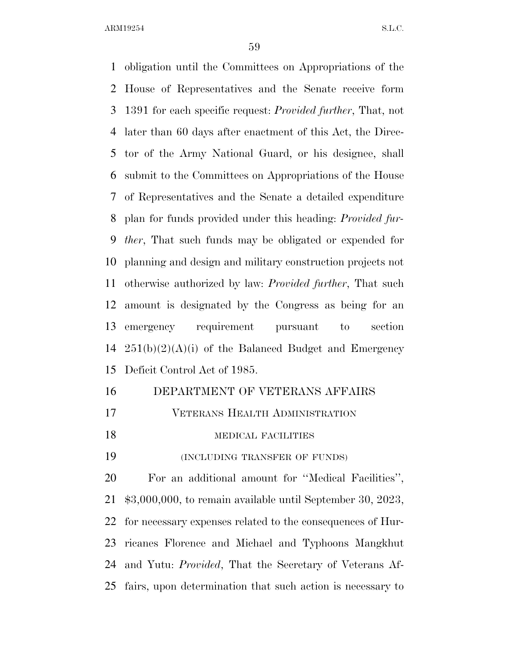obligation until the Committees on Appropriations of the House of Representatives and the Senate receive form 1391 for each specific request: *Provided further*, That, not later than 60 days after enactment of this Act, the Direc- tor of the Army National Guard, or his designee, shall submit to the Committees on Appropriations of the House of Representatives and the Senate a detailed expenditure plan for funds provided under this heading: *Provided fur- ther*, That such funds may be obligated or expended for planning and design and military construction projects not otherwise authorized by law: *Provided further*, That such amount is designated by the Congress as being for an emergency requirement pursuant to section  $251(b)(2)(A)(i)$  of the Balanced Budget and Emergency Deficit Control Act of 1985.

#### DEPARTMENT OF VETERANS AFFAIRS

VETERANS HEALTH ADMINISTRATION

#### 18 MEDICAL FACILITIES

(INCLUDING TRANSFER OF FUNDS)

 For an additional amount for ''Medical Facilities'', \$3,000,000, to remain available until September 30, 2023, for necessary expenses related to the consequences of Hur- ricanes Florence and Michael and Typhoons Mangkhut and Yutu: *Provided*, That the Secretary of Veterans Af-fairs, upon determination that such action is necessary to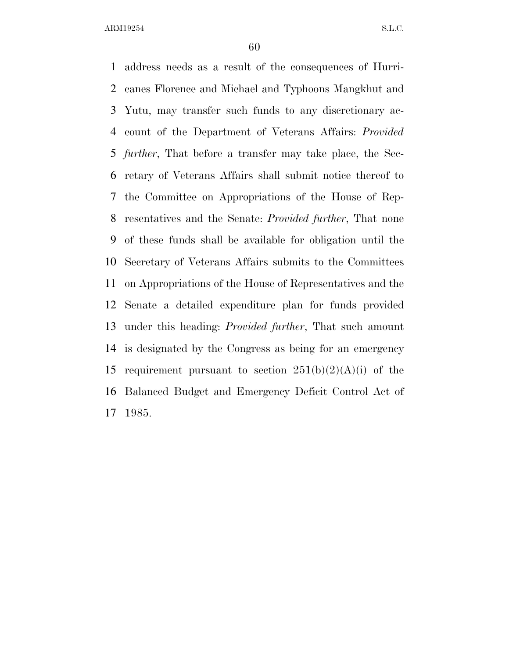address needs as a result of the consequences of Hurri- canes Florence and Michael and Typhoons Mangkhut and Yutu, may transfer such funds to any discretionary ac- count of the Department of Veterans Affairs: *Provided further*, That before a transfer may take place, the Sec- retary of Veterans Affairs shall submit notice thereof to the Committee on Appropriations of the House of Rep- resentatives and the Senate: *Provided further*, That none of these funds shall be available for obligation until the Secretary of Veterans Affairs submits to the Committees on Appropriations of the House of Representatives and the Senate a detailed expenditure plan for funds provided under this heading: *Provided further*, That such amount is designated by the Congress as being for an emergency 15 requirement pursuant to section  $251(b)(2)(A)(i)$  of the Balanced Budget and Emergency Deficit Control Act of 1985.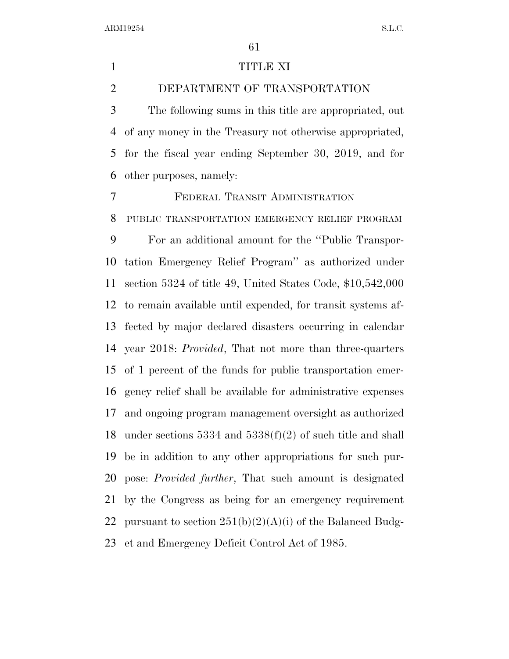#### TITLE XI

DEPARTMENT OF TRANSPORTATION

 The following sums in this title are appropriated, out of any money in the Treasury not otherwise appropriated, for the fiscal year ending September 30, 2019, and for other purposes, namely:

FEDERAL TRANSIT ADMINISTRATION

PUBLIC TRANSPORTATION EMERGENCY RELIEF PROGRAM

 For an additional amount for the ''Public Transpor- tation Emergency Relief Program'' as authorized under section 5324 of title 49, United States Code, \$10,542,000 to remain available until expended, for transit systems af- fected by major declared disasters occurring in calendar year 2018: *Provided*, That not more than three-quarters of 1 percent of the funds for public transportation emer- gency relief shall be available for administrative expenses and ongoing program management oversight as authorized under sections 5334 and 5338(f)(2) of such title and shall be in addition to any other appropriations for such pur- pose: *Provided further*, That such amount is designated by the Congress as being for an emergency requirement 22 pursuant to section  $251(b)(2)(A)(i)$  of the Balanced Budg-et and Emergency Deficit Control Act of 1985.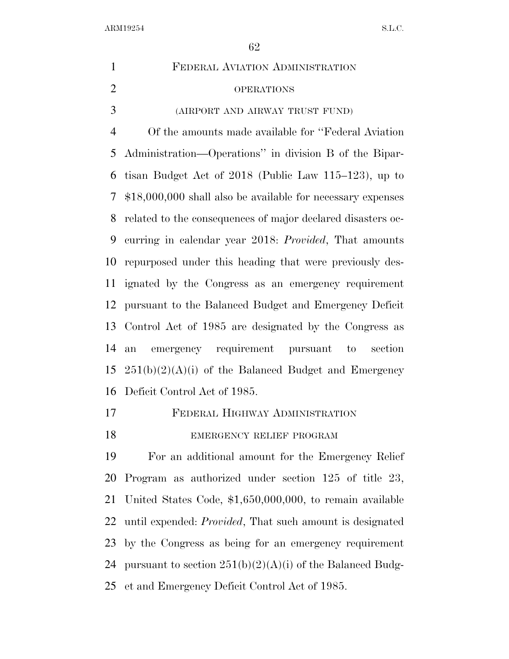| $\mathbf{1}$   | FEDERAL AVIATION ADMINISTRATION                               |
|----------------|---------------------------------------------------------------|
| $\overline{2}$ | <b>OPERATIONS</b>                                             |
| 3              | (AIRPORT AND AIRWAY TRUST FUND)                               |
| $\overline{4}$ | Of the amounts made available for "Federal Aviation"          |
| 5              | Administration—Operations" in division B of the Bipar-        |
| 6              | tisan Budget Act of 2018 (Public Law 115–123), up to          |
| 7              | $$18,000,000$ shall also be available for necessary expenses  |
| 8              | related to the consequences of major declared disasters oc-   |
| 9              | curring in calendar year 2018: <i>Provided</i> , That amounts |
| 10             | repurposed under this heading that were previously des-       |
| 11             | ignated by the Congress as an emergency requirement           |
| 12             | pursuant to the Balanced Budget and Emergency Deficit         |
| 13             | Control Act of 1985 are designated by the Congress as         |
| 14             | emergency requirement pursuant<br>to<br>section<br>an         |
| 15             | $251(b)(2)(A)(i)$ of the Balanced Budget and Emergency        |
| 16             | Deficit Control Act of 1985.                                  |
| 17             | FEDERAL HIGHWAY ADMINISTRATION                                |
| 18             | EMERGENCY RELIEF PROGRAM                                      |
| 19             | For an additional amount for the Emergency Relief             |
|                |                                                               |

 Program as authorized under section 125 of title 23, United States Code, \$1,650,000,000, to remain available until expended: *Provided*, That such amount is designated by the Congress as being for an emergency requirement 24 pursuant to section  $251(b)(2)(A)(i)$  of the Balanced Budg-et and Emergency Deficit Control Act of 1985.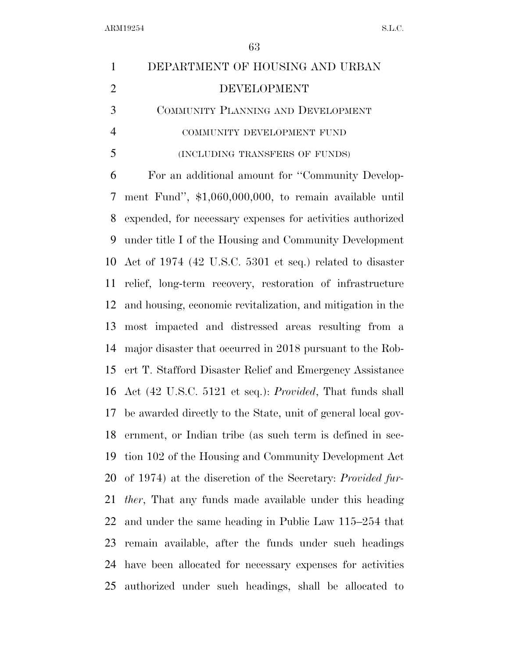| $\mathbf{1}$   | DEPARTMENT OF HOUSING AND URBAN                                    |
|----------------|--------------------------------------------------------------------|
| $\overline{2}$ | <b>DEVELOPMENT</b>                                                 |
| 3              | COMMUNITY PLANNING AND DEVELOPMENT                                 |
| $\overline{4}$ | COMMUNITY DEVELOPMENT FUND                                         |
| 5              | (INCLUDING TRANSFERS OF FUNDS)                                     |
| 6              | For an additional amount for "Community Develop-                   |
| 7              | ment Fund", \$1,060,000,000, to remain available until             |
| 8              | expended, for necessary expenses for activities authorized         |
| 9              | under title I of the Housing and Community Development             |
| 10             | Act of 1974 (42 U.S.C. 5301 et seq.) related to disaster           |
| 11             | relief, long-term recovery, restoration of infrastructure          |
| 12             | and housing, economic revitalization, and mitigation in the        |
| 13             | most impacted and distressed areas resulting from a                |
| 14             | major disaster that occurred in 2018 pursuant to the Rob-          |
| 15             | ert T. Stafford Disaster Relief and Emergency Assistance           |
| 16             | Act (42 U.S.C. 5121 et seq.): <i>Provided</i> , That funds shall   |
| 17             | be awarded directly to the State, unit of general local gov-       |
| 18             | ernment, or Indian tribe (as such term is defined in sec-          |
| 19             | tion 102 of the Housing and Community Development Act              |
| 20             | of 1974) at the discretion of the Secretary: <i>Provided fur</i> - |
| 21             | <i>ther</i> , That any funds made available under this heading     |
| 22             | and under the same heading in Public Law 115–254 that              |
| 23             | remain available, after the funds under such headings              |
| 24             | have been allocated for necessary expenses for activities          |
| 25             | authorized under such headings, shall be allocated to              |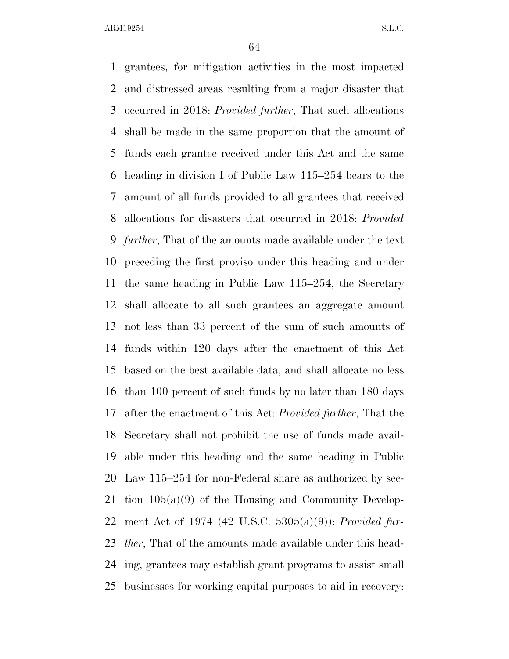grantees, for mitigation activities in the most impacted and distressed areas resulting from a major disaster that occurred in 2018: *Provided further*, That such allocations shall be made in the same proportion that the amount of funds each grantee received under this Act and the same heading in division I of Public Law 115–254 bears to the amount of all funds provided to all grantees that received allocations for disasters that occurred in 2018: *Provided further*, That of the amounts made available under the text preceding the first proviso under this heading and under the same heading in Public Law 115–254, the Secretary shall allocate to all such grantees an aggregate amount not less than 33 percent of the sum of such amounts of funds within 120 days after the enactment of this Act based on the best available data, and shall allocate no less than 100 percent of such funds by no later than 180 days after the enactment of this Act: *Provided further*, That the Secretary shall not prohibit the use of funds made avail- able under this heading and the same heading in Public Law 115–254 for non-Federal share as authorized by sec- tion 105(a)(9) of the Housing and Community Develop- ment Act of 1974 (42 U.S.C. 5305(a)(9)): *Provided fur- ther*, That of the amounts made available under this head- ing, grantees may establish grant programs to assist small businesses for working capital purposes to aid in recovery: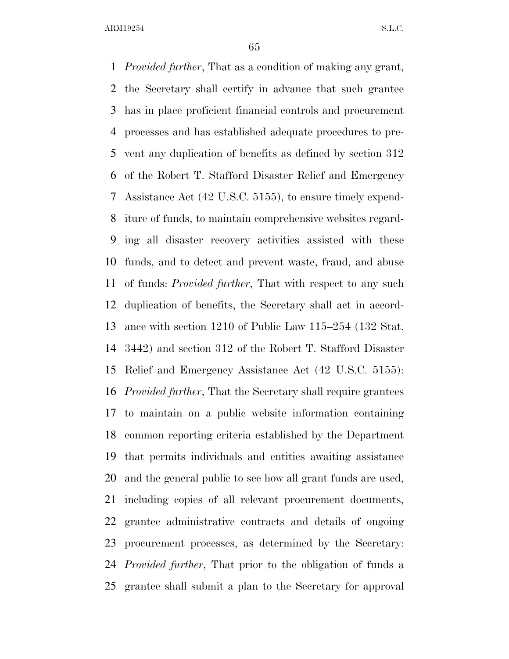*Provided further*, That as a condition of making any grant, the Secretary shall certify in advance that such grantee has in place proficient financial controls and procurement processes and has established adequate procedures to pre- vent any duplication of benefits as defined by section 312 of the Robert T. Stafford Disaster Relief and Emergency Assistance Act (42 U.S.C. 5155), to ensure timely expend- iture of funds, to maintain comprehensive websites regard- ing all disaster recovery activities assisted with these funds, and to detect and prevent waste, fraud, and abuse of funds: *Provided further*, That with respect to any such duplication of benefits, the Secretary shall act in accord- ance with section 1210 of Public Law 115–254 (132 Stat. 3442) and section 312 of the Robert T. Stafford Disaster Relief and Emergency Assistance Act (42 U.S.C. 5155): *Provided further*, That the Secretary shall require grantees to maintain on a public website information containing common reporting criteria established by the Department that permits individuals and entities awaiting assistance and the general public to see how all grant funds are used, including copies of all relevant procurement documents, grantee administrative contracts and details of ongoing procurement processes, as determined by the Secretary: *Provided further*, That prior to the obligation of funds a grantee shall submit a plan to the Secretary for approval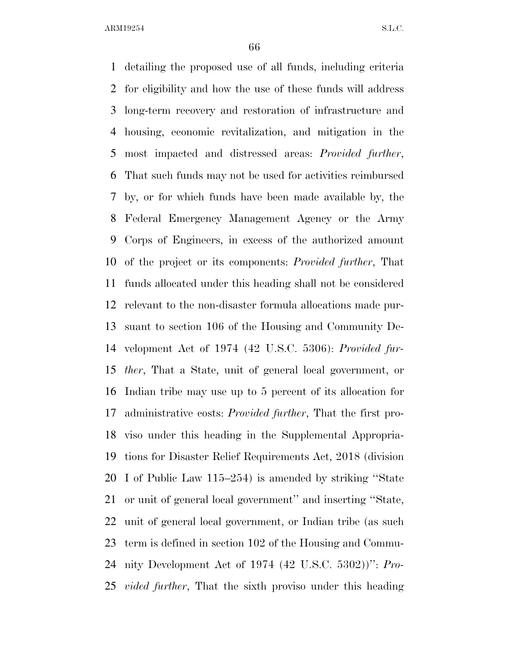detailing the proposed use of all funds, including criteria for eligibility and how the use of these funds will address long-term recovery and restoration of infrastructure and housing, economic revitalization, and mitigation in the most impacted and distressed areas: *Provided further*, That such funds may not be used for activities reimbursed by, or for which funds have been made available by, the Federal Emergency Management Agency or the Army Corps of Engineers, in excess of the authorized amount of the project or its components: *Provided further*, That funds allocated under this heading shall not be considered relevant to the non-disaster formula allocations made pur- suant to section 106 of the Housing and Community De- velopment Act of 1974 (42 U.S.C. 5306): *Provided fur- ther*, That a State, unit of general local government, or Indian tribe may use up to 5 percent of its allocation for administrative costs: *Provided further*, That the first pro- viso under this heading in the Supplemental Appropria- tions for Disaster Relief Requirements Act, 2018 (division I of Public Law 115–254) is amended by striking ''State or unit of general local government'' and inserting ''State, unit of general local government, or Indian tribe (as such term is defined in section 102 of the Housing and Commu- nity Development Act of 1974 (42 U.S.C. 5302))'': *Pro-vided further*, That the sixth proviso under this heading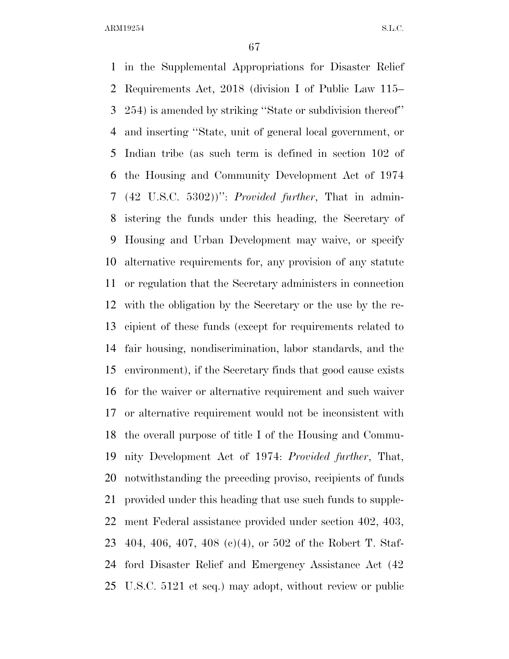in the Supplemental Appropriations for Disaster Relief Requirements Act, 2018 (division I of Public Law 115– 254) is amended by striking ''State or subdivision thereof'' and inserting ''State, unit of general local government, or Indian tribe (as such term is defined in section 102 of the Housing and Community Development Act of 1974 (42 U.S.C. 5302))'': *Provided further*, That in admin- istering the funds under this heading, the Secretary of Housing and Urban Development may waive, or specify alternative requirements for, any provision of any statute or regulation that the Secretary administers in connection with the obligation by the Secretary or the use by the re- cipient of these funds (except for requirements related to fair housing, nondiscrimination, labor standards, and the environment), if the Secretary finds that good cause exists for the waiver or alternative requirement and such waiver or alternative requirement would not be inconsistent with the overall purpose of title I of the Housing and Commu- nity Development Act of 1974: *Provided further*, That, notwithstanding the preceding proviso, recipients of funds provided under this heading that use such funds to supple- ment Federal assistance provided under section 402, 403, 404, 406, 407, 408 (c)(4), or 502 of the Robert T. Staf- ford Disaster Relief and Emergency Assistance Act (42 U.S.C. 5121 et seq.) may adopt, without review or public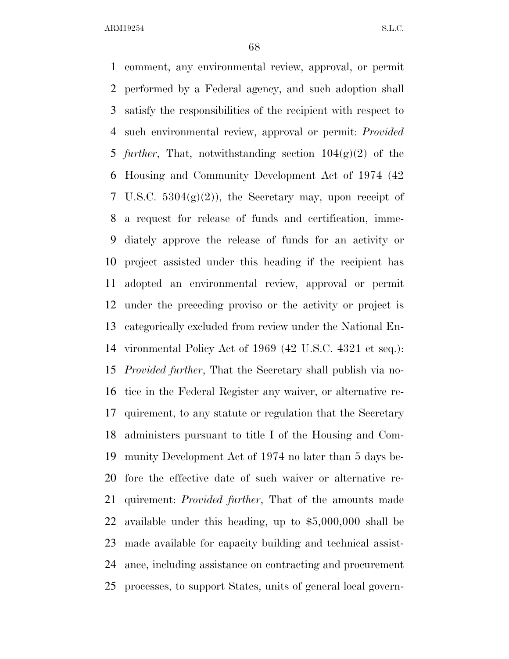comment, any environmental review, approval, or permit performed by a Federal agency, and such adoption shall satisfy the responsibilities of the recipient with respect to such environmental review, approval or permit: *Provided further*, That, notwithstanding section 104(g)(2) of the Housing and Community Development Act of 1974 (42 7 U.S.C.  $5304(g)(2)$ , the Secretary may, upon receipt of a request for release of funds and certification, imme- diately approve the release of funds for an activity or project assisted under this heading if the recipient has adopted an environmental review, approval or permit under the preceding proviso or the activity or project is categorically excluded from review under the National En- vironmental Policy Act of 1969 (42 U.S.C. 4321 et seq.): *Provided further*, That the Secretary shall publish via no- tice in the Federal Register any waiver, or alternative re- quirement, to any statute or regulation that the Secretary administers pursuant to title I of the Housing and Com- munity Development Act of 1974 no later than 5 days be- fore the effective date of such waiver or alternative re- quirement: *Provided further*, That of the amounts made available under this heading, up to \$5,000,000 shall be made available for capacity building and technical assist- ance, including assistance on contracting and procurement processes, to support States, units of general local govern-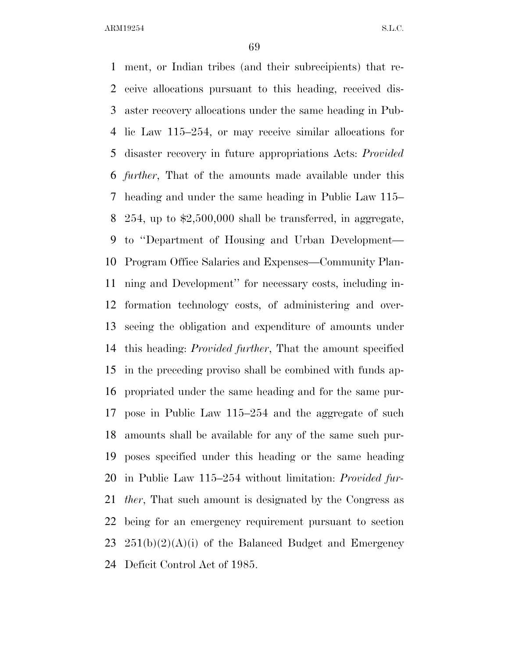ment, or Indian tribes (and their subrecipients) that re- ceive allocations pursuant to this heading, received dis- aster recovery allocations under the same heading in Pub- lic Law 115–254, or may receive similar allocations for disaster recovery in future appropriations Acts: *Provided further*, That of the amounts made available under this heading and under the same heading in Public Law 115– 254, up to \$2,500,000 shall be transferred, in aggregate, to ''Department of Housing and Urban Development— Program Office Salaries and Expenses—Community Plan- ning and Development'' for necessary costs, including in- formation technology costs, of administering and over- seeing the obligation and expenditure of amounts under this heading: *Provided further*, That the amount specified in the preceding proviso shall be combined with funds ap- propriated under the same heading and for the same pur- pose in Public Law 115–254 and the aggregate of such amounts shall be available for any of the same such pur- poses specified under this heading or the same heading in Public Law 115–254 without limitation: *Provided fur- ther*, That such amount is designated by the Congress as being for an emergency requirement pursuant to section  $251(b)(2)(A)(i)$  of the Balanced Budget and Emergency Deficit Control Act of 1985.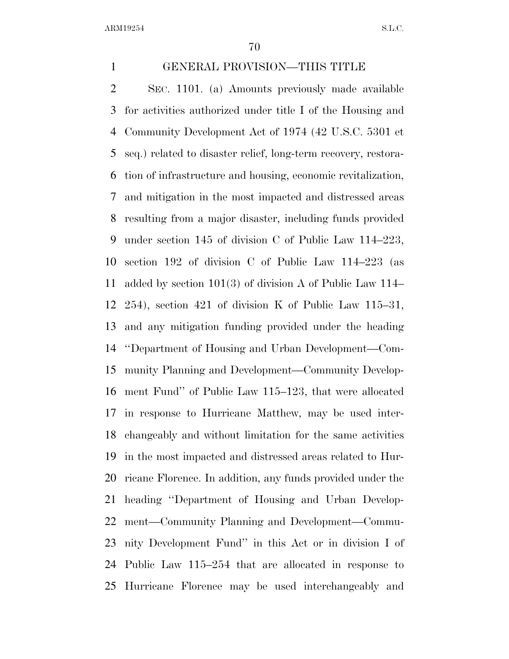GENERAL PROVISION—THIS TITLE SEC. 1101. (a) Amounts previously made available for activities authorized under title I of the Housing and Community Development Act of 1974 (42 U.S.C. 5301 et seq.) related to disaster relief, long-term recovery, restora- tion of infrastructure and housing, economic revitalization, and mitigation in the most impacted and distressed areas resulting from a major disaster, including funds provided under section 145 of division C of Public Law 114–223, section 192 of division C of Public Law 114–223 (as added by section 101(3) of division A of Public Law 114– 254), section 421 of division K of Public Law 115–31, and any mitigation funding provided under the heading ''Department of Housing and Urban Development—Com- munity Planning and Development—Community Develop- ment Fund'' of Public Law 115–123, that were allocated in response to Hurricane Matthew, may be used inter- changeably and without limitation for the same activities in the most impacted and distressed areas related to Hur- ricane Florence. In addition, any funds provided under the heading ''Department of Housing and Urban Develop- ment—Community Planning and Development—Commu- nity Development Fund'' in this Act or in division I of Public Law 115–254 that are allocated in response to Hurricane Florence may be used interchangeably and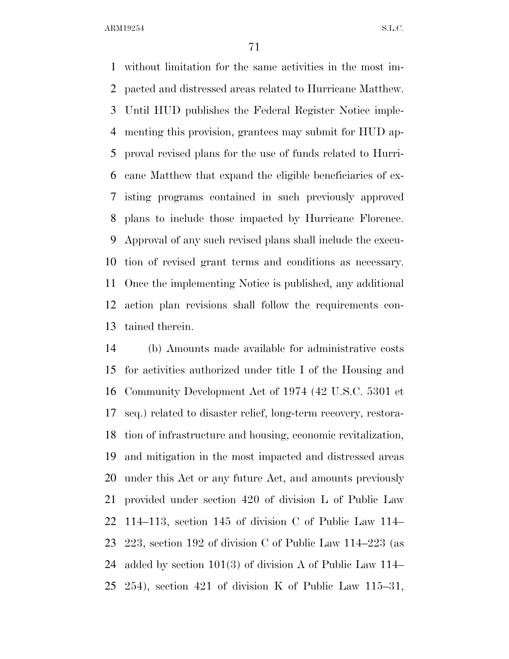without limitation for the same activities in the most im- pacted and distressed areas related to Hurricane Matthew. Until HUD publishes the Federal Register Notice imple- menting this provision, grantees may submit for HUD ap- proval revised plans for the use of funds related to Hurri- cane Matthew that expand the eligible beneficiaries of ex- isting programs contained in such previously approved plans to include those impacted by Hurricane Florence. Approval of any such revised plans shall include the execu- tion of revised grant terms and conditions as necessary. Once the implementing Notice is published, any additional action plan revisions shall follow the requirements con-tained therein.

 (b) Amounts made available for administrative costs for activities authorized under title I of the Housing and Community Development Act of 1974 (42 U.S.C. 5301 et seq.) related to disaster relief, long-term recovery, restora- tion of infrastructure and housing, economic revitalization, and mitigation in the most impacted and distressed areas under this Act or any future Act, and amounts previously provided under section 420 of division L of Public Law 114–113, section 145 of division C of Public Law 114– 223, section 192 of division C of Public Law 114–223 (as added by section 101(3) of division A of Public Law 114– 254), section 421 of division K of Public Law 115–31,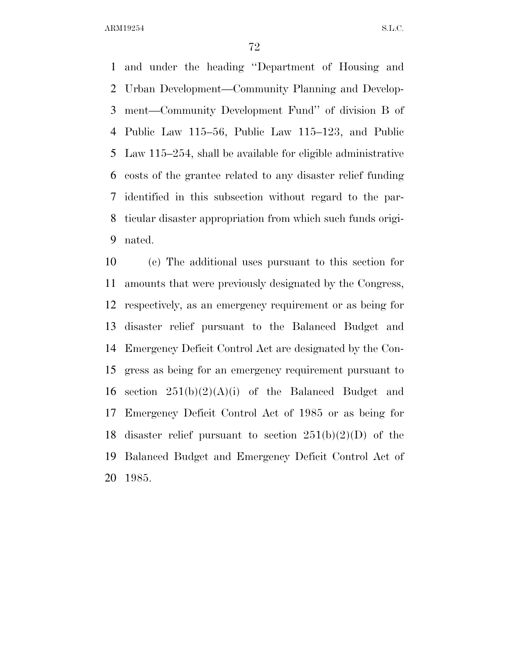and under the heading ''Department of Housing and Urban Development—Community Planning and Develop- ment—Community Development Fund'' of division B of Public Law 115–56, Public Law 115–123, and Public Law 115–254, shall be available for eligible administrative costs of the grantee related to any disaster relief funding identified in this subsection without regard to the par- ticular disaster appropriation from which such funds origi-nated.

 (c) The additional uses pursuant to this section for amounts that were previously designated by the Congress, respectively, as an emergency requirement or as being for disaster relief pursuant to the Balanced Budget and Emergency Deficit Control Act are designated by the Con- gress as being for an emergency requirement pursuant to 16 section  $251(b)(2)(A)(i)$  of the Balanced Budget and Emergency Deficit Control Act of 1985 or as being for 18 disaster relief pursuant to section  $251(b)(2)(D)$  of the Balanced Budget and Emergency Deficit Control Act of 1985.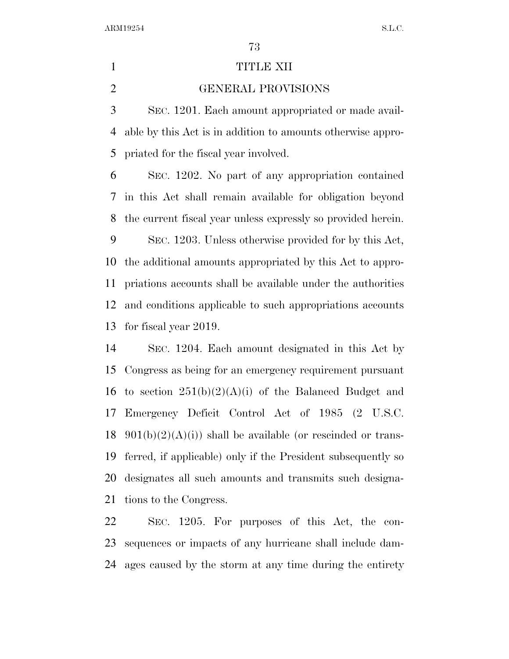## 1 TITLE XII

## GENERAL PROVISIONS

 SEC. 1201. Each amount appropriated or made avail- able by this Act is in addition to amounts otherwise appro-priated for the fiscal year involved.

 SEC. 1202. No part of any appropriation contained in this Act shall remain available for obligation beyond the current fiscal year unless expressly so provided herein.

 SEC. 1203. Unless otherwise provided for by this Act, the additional amounts appropriated by this Act to appro- priations accounts shall be available under the authorities and conditions applicable to such appropriations accounts for fiscal year 2019.

 SEC. 1204. Each amount designated in this Act by Congress as being for an emergency requirement pursuant 16 to section  $251(b)(2)(A)(i)$  of the Balanced Budget and Emergency Deficit Control Act of 1985 (2 U.S.C.  $901(b)(2)(A(i))$  shall be available (or rescinded or trans- ferred, if applicable) only if the President subsequently so designates all such amounts and transmits such designa-tions to the Congress.

 SEC. 1205. For purposes of this Act, the con- sequences or impacts of any hurricane shall include dam-ages caused by the storm at any time during the entirety